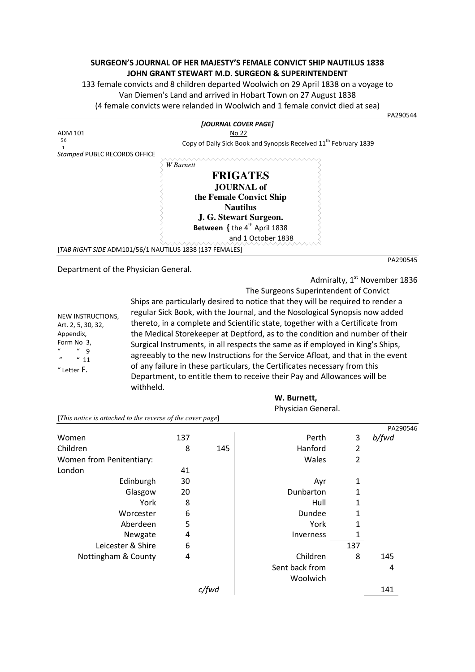## **SURGEON'S JOURNAL OF HER MAJESTY'S FEMALE CONVICT SHIP NAUTILUS 1838 JOHN GRANT STEWART M.D. SURGEON & SUPERINTENDENT**

133 female convicts and 8 children departed Woolwich on 29 April 1838 on a voyage to Van Diemen's Land and arrived in Hobart Town on 27 August 1838 (4 female convicts were relanded in Woolwich and 1 female convict died at sea)

PA290544 (Package of the contract of the contract of the contract of the contract of the contract of the contract of the contract of the contract of the contract of the contract of the contract of the contract of the contr *[JOURNAL COVER PAGE]* ADM 101 No 22  $\frac{56}{4}$  $\overline{1}$ Copy of Daily Sick Book and Synopsis Received 11<sup>th</sup> February 1839 *Stamped* PUBLC RECORDS OFFICE *W Burnett*  **FRIGATES JOURNAL of the Female Convict Ship Nautilus J. G. Stewart Surgeon. Between** { the 4<sup>th</sup> April 1838 and 1 October 1838 [*TAB RIGHT SIDE* ADM101/56/1 NAUTILUS 1838 (137 FEMALES] PA290545

Department of the Physician General.

Admiralty, 1<sup>st</sup> November 1836 The Surgeons Superintendent of Convict

NEW INSTRUCTIONS, Art. 2, 5, 30, 32, Appendix, Form No 3,  $"$  9  $^{\prime\prime}$  11 " Letter F.

Ships are particularly desired to notice that they will be required to render a regular Sick Book, with the Journal, and the Nosological Synopsis now added thereto, in a complete and Scientific state, together with a Certificate from the Medical Storekeeper at Deptford, as to the condition and number of their Surgical Instruments, in all respects the same as if employed in King's Ships, agreeably to the new Instructions for the Service Afloat, and that in the event of any failure in these particulars, the Certificates necessary from this Department, to entitle them to receive their Pay and Allowances will be withheld.

**W. Burnett,** 

|                                                            |     |       | Physician General. |                |          |
|------------------------------------------------------------|-----|-------|--------------------|----------------|----------|
| [This notice is attached to the reverse of the cover page] |     |       |                    |                |          |
|                                                            |     |       |                    |                | PA290546 |
| Women                                                      | 137 |       | Perth              | 3              | b/fwd    |
| Children                                                   | 8   | 145   | Hanford            | 2              |          |
| Women from Penitentiary:                                   |     |       | Wales              | $\overline{2}$ |          |
| London                                                     | 41  |       |                    |                |          |
| Edinburgh                                                  | 30  |       | Ayr                | 1              |          |
| Glasgow                                                    | 20  |       | Dunbarton          | 1              |          |
| York                                                       | 8   |       | Hull               | 1              |          |
| Worcester                                                  | 6   |       | Dundee             | 1              |          |
| Aberdeen                                                   | 5   |       | York               | 1              |          |
| Newgate                                                    | 4   |       | Inverness          | 1              |          |
| Leicester & Shire                                          | 6   |       |                    | 137            |          |
| Nottingham & County                                        | 4   |       | Children           | 8              | 145      |
|                                                            |     |       | Sent back from     |                | 4        |
|                                                            |     |       | Woolwich           |                |          |
|                                                            |     | c/fwd |                    |                | 141      |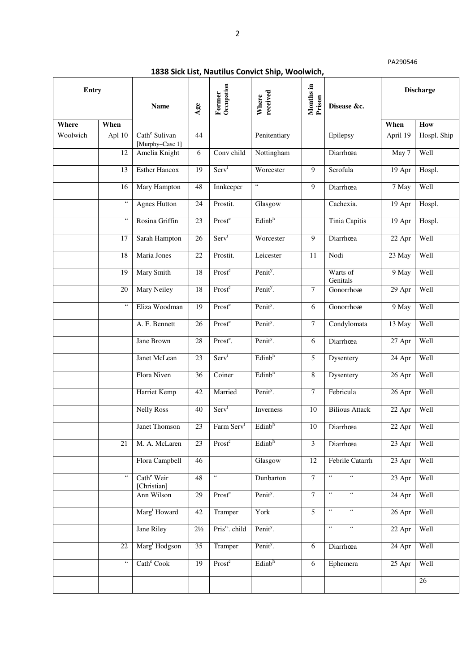| Entry    |                                              | <b>Name</b>                                  | Age             | Former<br>Occupation       | received<br>Where    | Months in<br>Prison | Disease &c.                                              |                     | <b>Discharge</b> |
|----------|----------------------------------------------|----------------------------------------------|-----------------|----------------------------|----------------------|---------------------|----------------------------------------------------------|---------------------|------------------|
| Where    | When                                         |                                              |                 |                            |                      |                     |                                                          | When                | How              |
| Woolwich | Apl 10                                       | Cath <sup>e</sup> Sulivan<br>[Murphy-Case 1] | 44              |                            | Penitentiary         |                     | Epilepsy                                                 | April 19            | Hospl. Ship      |
|          | $\overline{12}$                              | Amelia Knight                                | 6               | Conv child                 | Nottingham           |                     | Diarrhœa                                                 | May 7               | Well             |
|          | 13                                           | <b>Esther Hancox</b>                         | 19              | Serv <sup>t</sup>          | Worcester            | $\overline{9}$      | Scrofula                                                 | 19 Apr              | Hospl.           |
|          | 16                                           | Mary Hampton                                 | 48              | Innkeeper                  | $\zeta\,\zeta$       | 9                   | Diarrhœa                                                 | 7 May               | Well             |
|          | $\epsilon\,\epsilon$                         | <b>Agnes Hutton</b>                          | 24              | Prostit.                   | Glasgow              |                     | Cachexia.                                                | 19 Apr              | Hospl.           |
|          | $\zeta$ $\zeta$                              | Rosina Griffin                               | 23              | Prost <sup>e</sup>         | Edinb <sup>h</sup>   |                     | <b>Tinia Capitis</b>                                     | 19 Apr              | Hospl.           |
|          | 17                                           | Sarah Hampton                                | 26              | Serv <sup>t</sup>          | Worcester            | 9                   | Diarrhœa                                                 | 22 Apr              | Well             |
|          | 18                                           | Maria Jones                                  | 22              | Prostit.                   | Leicester            | 11                  | Nodi                                                     | 23 May              | Well             |
|          | 19                                           | Mary Smith                                   | 18              | Prost <sup>e</sup>         | Penit <sup>y</sup> . |                     | Warts of<br>Genitals                                     | 9 May               | Well             |
|          | 20                                           | <b>Mary Neiley</b>                           | 18              | Prost <sup>e</sup>         | Penit <sup>y</sup> . | $\overline{7}$      | Gonorrhoæ                                                | 29 Apr              | Well             |
|          | $\boldsymbol{\epsilon}\boldsymbol{\epsilon}$ | Eliza Woodman                                | $\overline{19}$ | Prost <sup>e</sup>         | Penit <sup>y</sup> . | 6                   | Gonorrhoæ                                                | 9 May               | Well             |
|          |                                              | A. F. Bennett                                | 26              | Prost <sup>e</sup>         | Penit <sup>y</sup> . | $\tau$              | Condylomata                                              | 13 May              | Well             |
|          |                                              | Jane Brown                                   | 28              | Prost <sup>e</sup> .       | Penit <sup>y</sup> . | 6                   | Diarrhœa                                                 | 27 Apr              | Well             |
|          |                                              | Janet McLean                                 | 23              | Serv <sup>t</sup>          | Edinb <sup>h</sup>   | $\mathfrak{H}$      | Dysentery                                                | 24 Apr              | Well             |
|          |                                              | Flora Niven                                  | $\overline{36}$ | Coiner                     | Edinb <sup>h</sup>   | $\overline{8}$      | Dysentery                                                | $26$ Apr            | Well             |
|          |                                              | Harriet Kemp                                 | 42              | Married                    | Penit <sup>y</sup> . | $\overline{7}$      | Febricula                                                | 26 Apr              | Well             |
|          |                                              | <b>Nelly Ross</b>                            | 40              | Serv <sup>t</sup>          | Inverness            | $10\,$              | <b>Bilious Attack</b>                                    | 22 Apr              | Well             |
|          |                                              | <b>Janet Thomson</b>                         | 23              | Farm Serv <sup>t</sup>     | Edinb <sup>h</sup>   | 10                  | Diarrhœa                                                 | 22 Apr              | Well             |
|          | 21                                           | M. A. McLaren                                | 23              | Prost <sup>e</sup>         | Edinb <sup>h</sup>   | 3                   | Diarrhœa                                                 | 23 Apr              | Well             |
|          |                                              | Flora Campbell                               | 46              |                            | Glasgow              | 12                  | Febrile Catarrh                                          | 23 Apr              | Well             |
|          | $\epsilon\,\epsilon$                         | Cath <sup>e</sup> Weir<br>[Christian]        | 48              | $\overline{\mathfrak{c}}$  | Dunbarton            | $\overline{7}$      | $\mathfrak{c}\mathfrak{c}$<br>$\mathfrak{c}\mathfrak{c}$ | 23 Apr              | Well             |
|          |                                              | Ann Wilson                                   | 29              | Prost <sup>e</sup>         | Penit <sup>y</sup> . | $\overline{7}$      | $\epsilon$ $\epsilon$<br>$\zeta$ $\zeta$                 | $\overline{24}$ Apr | Well             |
|          |                                              | Marg <sup>t</sup> Howard                     | 42              | Tramper                    | York                 | $\overline{5}$      | $\mathfrak{c}\,\mathfrak{c}$<br>$\epsilon$ $\epsilon$    | 26 Apr              | Well             |
|          |                                              | Jane Riley                                   | $2\frac{1}{2}$  | Pris <sup>rs</sup> . child | Penit <sup>y</sup> . |                     | $\mathfrak{c}$<br>$\zeta\,\zeta$                         | 22 Apr              | Well             |
|          | $\overline{22}$                              | Marg <sup>t</sup> Hodgson                    | $\overline{35}$ | Tramper                    | Penit <sup>y</sup> . | 6                   | Diarrhœa                                                 | 24 Apr              | Well             |
|          | $\epsilon$ $\epsilon$                        | Cath <sup>e</sup> Cook                       | 19              | Prost <sup>e</sup>         | Edinb <sup>h</sup>   | 6                   | Ephemera                                                 | 25 Apr              | Well             |
|          |                                              |                                              |                 |                            |                      |                     |                                                          |                     | $26\,$           |

**1838 Sick List, Nautilus Convict Ship, Woolwich,**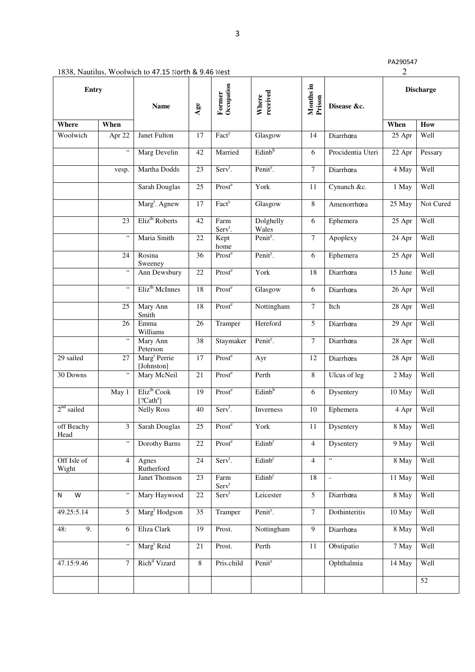| PA290547 |  |
|----------|--|
|----------|--|

| 1838, Nautilus, Woolwich to 47.15 North & 9.46 West |  |
|-----------------------------------------------------|--|
|-----------------------------------------------------|--|

| Entry                |                                           | <b>Name</b>                                      | Age             | Occupation<br>Former        | received<br>Where    | Months in<br>Prison | Disease &c.              |         | <b>Discharge</b> |
|----------------------|-------------------------------------------|--------------------------------------------------|-----------------|-----------------------------|----------------------|---------------------|--------------------------|---------|------------------|
| Where                | When                                      |                                                  |                 |                             |                      |                     |                          | When    | How              |
| Woolwich             | Apr 22                                    | Janet Fulton                                     | 17              | Fact <sup>y</sup>           | Glasgow              | 14                  | Diarrhœa                 | 25 Apr  | Well             |
|                      | $\zeta\,\zeta$                            | Marg Develin                                     | 42              | Married                     | Edinb <sup>h</sup>   | 6                   | Procidentia Uteri        | 22 Apr  | Pessary          |
|                      | vesp.                                     | Martha Dodds                                     | 23              | Serv <sup>t</sup> .         | Penit <sup>y</sup> . | $\overline{7}$      | Diarrhœa                 | 4 May   | Well             |
|                      |                                           | Sarah Douglas                                    | 25              | Prost <sup>e</sup>          | York                 | 11                  | Cynanch &c.              | 1 May   | Well             |
|                      |                                           | Marg <sup>t</sup> . Agnew                        | 17              | Fact <sup>y</sup>           | Glasgow              | $\overline{8}$      | Amenorrhœa               | 25 May  | Not Cured        |
|                      | 23                                        | Eliz <sup>th</sup> Roberts                       | 42              | Farm<br>Serv <sup>t</sup> . | Dolghelly<br>Wales   | 6                   | Ephemera                 | 25 Apr  | Well             |
|                      | $\zeta\,\zeta$                            | Maria Smith                                      | 22              | Kept<br>home                | Penit <sup>y</sup> . | $\tau$              | Apoplexy                 | 24 Apr  | Well             |
|                      | 24                                        | Rosina<br>Sweeney                                | $\overline{36}$ | Prost <sup>e</sup>          | Penit <sup>y</sup> . | 6                   | Ephemera                 | 25 Apr  | Well             |
|                      | $\zeta$ $\zeta$                           | Ann Dewsbury                                     | $\overline{22}$ | Prost <sup>e</sup>          | York                 | 18                  | Diarrhœa                 | 15 June | Well             |
|                      | $\epsilon$ $\epsilon$                     | Eliz <sup>th</sup> McInnes                       | 18              | Prost <sup>e</sup>          | Glasgow              | 6                   | Diarrhœa                 | 26 Apr  | Well             |
|                      | 25                                        | Mary Ann<br>Smith                                | 18              | Prost <sup>e</sup>          | Nottingham           | $\overline{7}$      | Itch                     | 28 Apr  | Well             |
|                      | 26                                        | Emma<br>Williams                                 | 26              | Tramper                     | Hereford             | $\overline{5}$      | Diarrhœa                 | 29 Apr  | Well             |
|                      | $\zeta\,\zeta$                            | Mary Ann<br>Peterson                             | $\overline{38}$ | Staymaker                   | Penit <sup>y</sup> . | $\tau$              | Diarrhœa                 | 28 Apr  | Well             |
| 29 sailed            | 27                                        | Marg <sup>t</sup> Perrie<br>[Johnston]           | 17              | Prost <sup>e</sup>          | Ayr                  | 12                  | Diarrhœa                 | 28 Apr  | Well             |
| 30 Downs             | $\boldsymbol{\zeta}$ $\boldsymbol{\zeta}$ | Mary McNeil                                      | 21              | Prost <sup>e</sup>          | Perth                | $\overline{8}$      | Ulcus of leg             | 2 May   | Well             |
|                      | May 1                                     | Eliz <sup>th</sup> Cook<br>[?Cath <sup>e</sup> ] | 19              | Prost <sup>e</sup>          | Edinb <sup>h</sup>   | 6                   | Dysentery                | 10 May  | Well             |
| $2nd$ sailed         |                                           | <b>Nelly Ross</b>                                | 40              | Serv <sup>t</sup> .         | Inverness            | $10\,$              | Ephemera                 | 4 Apr   | Well             |
| off Beachy<br>Head   | 3                                         | <b>Sarah Douglas</b>                             | 25              | Prost <sup>e</sup>          | York                 | 11                  | Dysentery                | 8 May   | Well             |
|                      | $\zeta\,\zeta$                            | Dorothy Barns                                    | 22              | Prost <sup>e</sup>          | Edinb <sup>r</sup>   | $\overline{4}$      | <b>Dysentery</b>         | 9 May   | Well             |
| Off Isle of<br>Wight | $\overline{4}$                            | Agnes<br>Rutherford                              | 24              | $Servt$ .                   | Edinb <sup>r</sup>   | $\overline{4}$      | $\zeta\,\zeta$           | 8 May   | Well             |
|                      |                                           | Janet Thomson                                    | 23              | Farm<br>Serv <sup>t</sup>   | Edinb <sup>r</sup>   | $\overline{18}$     | $\overline{\phantom{a}}$ | 11 May  | Well             |
| $\overline{W}$<br>N  | $\zeta\,\zeta$                            | Mary Haywood                                     | $\overline{22}$ | Serv <sup>t</sup>           | Leicester            | $\overline{5}$      | Diarrhœa                 | $8$ May | Well             |
| 49.25:5.14           | 5                                         | Marg <sup>t</sup> Hodgson                        | $\overline{35}$ | Tramper                     | Penit <sup>y</sup> . | $\overline{7}$      | Dothinteritis            | 10 May  | Well             |
| 48:<br>9.            | 6                                         | Eliza Clark                                      | 19              | Prost.                      | Nottingham           | 9                   | Diarrhœa                 | 8 May   | Well             |
|                      | $\zeta\,\zeta$                            | Marg <sup>t</sup> Reid                           | 21              | Prost.                      | Perth                | 11                  | Obstipatio               | 7 May   | Well             |
| 47.15:9.46           | $\overline{7}$                            | Rich <sup>d</sup> Vizard                         | $\overline{8}$  | Pris.child                  | Penity               |                     | Ophthalmia               | 14 May  | Well             |
|                      |                                           |                                                  |                 |                             |                      |                     |                          |         | 52               |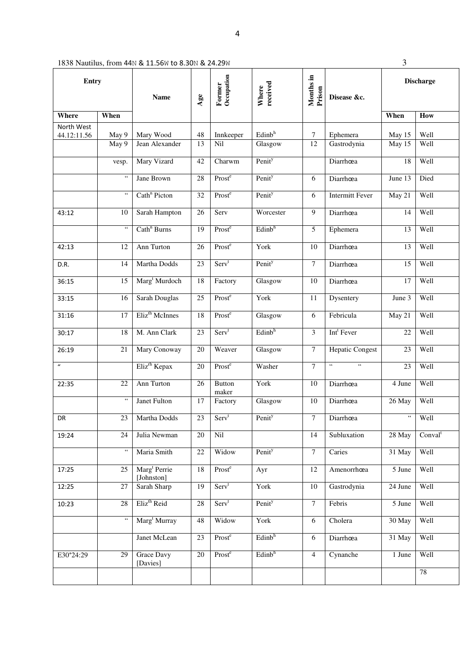| Entry            |                             |                                        |                 | Occupation<br>Former   | received<br>Where  | Months in      |                                  | <b>Discharge</b>     |                     |
|------------------|-----------------------------|----------------------------------------|-----------------|------------------------|--------------------|----------------|----------------------------------|----------------------|---------------------|
|                  |                             | <b>Name</b>                            | Age             |                        |                    | Prison         | Disease &c.                      |                      |                     |
| <b>Where</b>     | When                        |                                        |                 |                        |                    |                |                                  | When                 | How                 |
| North West       |                             |                                        | 48              |                        | Edinb <sup>h</sup> | 7              |                                  |                      | Well                |
| 44.12:11.56      | May 9<br>$\overline{$ May 9 | Mary Wood<br>Jean Alexander            | 13              | Innkeeper<br>Nil       | Glasgow            | 12             | Ephemera<br>Gastrodynia          | May 15<br>May 15     | Well                |
|                  | vesp.                       | Mary Vizard                            | 42              | Charwm                 | Penit <sup>y</sup> |                | Diarrhœa                         | 18                   | Well                |
|                  | $\epsilon$ $\epsilon$       |                                        |                 | Prost <sup>e</sup>     |                    |                |                                  |                      | Died                |
|                  |                             | Jane Brown                             | 28              |                        | Penit <sup>y</sup> | 6              | Diarrhœa                         | June 13              |                     |
|                  | $\epsilon\,\epsilon$        | Cath <sup>n</sup> Picton               | 32              | Prost <sup>e</sup>     | Penity             | 6              | <b>Intermitt Fever</b>           | $\overline{M}$ ay 21 | Well                |
| 43:12            | 10                          | Sarah Hampton                          | 26              | Serv                   | Worcester          | $\overline{9}$ | Diarrhœa                         | 14                   | Well                |
|                  | $\zeta\,\zeta$              | Cath <sup>n</sup> Burns                | 19              | Prost <sup>e</sup>     | Edinb <sup>h</sup> | 5              | Ephemera                         | 13                   | Well                |
| 42:13            | 12                          | Ann Turton                             | 26              | Prost <sup>e</sup>     | York               | 10             | Diarrhœa                         | 13                   | Well                |
| D.R.             | 14                          | Martha Dodds                           | 23              | Serv <sup>t</sup>      | Penity             | 7              | Diarrhœa                         | 15                   | Well                |
| 36:15            | 15                          | Marg <sup>t</sup> Murdoch              | 18              | Factory                | Glasgow            | 10             | Diarrhœa                         | 17                   | Well                |
| 33:15            | 16                          | Sarah Douglas                          | 25              | Prost <sup>e</sup>     | York               | 11             | Dysentery                        | June 3               | Well                |
| 31:16            | 17                          | Eliz <sup>th</sup> McInnes             | 18              | Prost <sup>e</sup>     | Glasgow            | 6              | Febricula                        | May 21               | Well                |
| 30:17            | 18                          | M. Ann Clark                           | 23              | Serv <sup>t</sup>      | Edinb <sup>h</sup> | 3              | Int <sup>t</sup> Fever           | 22                   | Well                |
| 26:19            | 21                          | Mary Conoway                           | 20              | Weaver                 | Glasgow            | $\tau$         | <b>Hepatic Congest</b>           | 23                   | Well                |
| $\boldsymbol{u}$ |                             | Eliz <sup>rh</sup> Kepax               | 20              | Prost <sup>e</sup>     | Washer             | 7              | $\zeta\,\zeta$<br>$\zeta\,\zeta$ | 23                   | Well                |
| 22:35            | 22                          | Ann Turton                             | 26              | <b>Button</b><br>maker | York               | 10             | Diarrhœa                         | 4 June               | Well                |
|                  | $\,$ 6 $\,$                 | <b>Janet Fulton</b>                    | 17              | Factory                | Glasgow            | 10             | Diarrhœa                         | 26 May               | Well                |
| <b>DR</b>        | 23                          | Martha Dodds                           | 23              | Serv <sup>t</sup>      | Penity             | $\overline{7}$ | Diarrhœa                         | $\epsilon\,\epsilon$ | Well                |
| 19:24            | 24                          | Julia Newman                           | 20              | Nil                    |                    | 14             | Subluxation                      | $28$ May             | Conval <sup>t</sup> |
|                  | $\mathfrak{c}\mathfrak{c}$  | Maria Smith                            | 22              | Widow                  | Penity             | $\tau$         | Caries                           | 31 May               | Well                |
| 17:25            | 25                          | Marg <sup>t</sup> Perrie<br>[Johnston] | 18              | Prost <sup>e</sup>     | Ayr                | 12             | Amenorrhœa                       | 5 June               | Well                |
| 12:25            | 27                          | Sarah Sharp                            | 19              | Serv <sup>t</sup>      | York               | 10             | Gastrodynia                      | 24 June              | Well                |
| 10:23            | $\overline{28}$             | Eliz <sup>th</sup> Reid                | $\overline{28}$ | Serv <sup>t</sup>      | Penit <sup>y</sup> | $\overline{7}$ | Febris                           | 5 June               | Well                |
|                  | $\epsilon\epsilon$          | Marg <sup>t</sup> Murray               | 48              | Widow                  | York               | $\overline{6}$ | Cholera                          | 30 May               | Well                |
|                  |                             | Janet McLean                           | 23              | Prost <sup>e</sup>     | Edinb <sup>h</sup> | 6              | Diarrhœa                         | $\overline{31}$ May  | Well                |
| E30°24:29        | 29                          | <b>Grace Davy</b><br>[Davies]          | 20              | Prost <sup>e</sup>     | Edinb <sup>h</sup> | $\overline{4}$ | Cynanche                         | 1 June               | Well                |
|                  |                             |                                        |                 |                        |                    |                |                                  |                      | 78                  |

4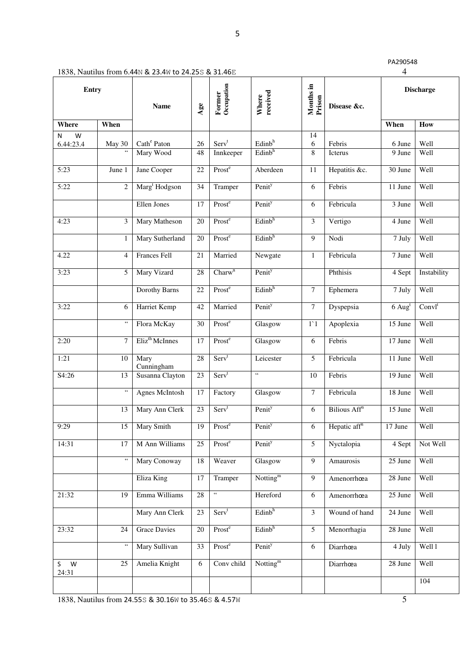| 1838, Nautilus from 6.44N & 23.4W to 24.25S & 31.46E |  |
|------------------------------------------------------|--|
|------------------------------------------------------|--|

| <b>Entry</b>    |                          |                                      |                 | Occupation<br>Former           | received<br>Where                        | Months in<br>Prison |                          |                      | <b>Discharge</b> |
|-----------------|--------------------------|--------------------------------------|-----------------|--------------------------------|------------------------------------------|---------------------|--------------------------|----------------------|------------------|
|                 |                          | <b>Name</b>                          | Age             |                                |                                          |                     | Disease &c.              |                      |                  |
| Where           | When                     |                                      |                 |                                |                                          |                     |                          | When                 | How              |
| W<br>Ν          |                          |                                      |                 |                                |                                          | 14                  |                          |                      |                  |
| 6.44:23.4       | May 30<br>$\zeta\,\zeta$ | Cath <sup>e</sup> Paton<br>Mary Wood | 26<br>48        | Serv <sup>t</sup><br>Innkeeper | Edinb <sup>h</sup><br>Edinb <sup>h</sup> | 6<br>8              | Febris<br>Icterus        | 6 June<br>9 June     | Well<br>Well     |
|                 |                          |                                      |                 |                                |                                          |                     |                          |                      |                  |
| 5:23            | June 1                   | Jane Cooper                          | 22              | Prost <sup>e</sup>             | Aberdeen                                 | $11\,$              | Hepatitis &c.            | 30 June              | Well             |
| 5:22            | $\overline{c}$           | Marg <sup>t</sup> Hodgson            | 34              | Tramper                        | Penity                                   | 6                   | Febris                   | 11 June              | Well             |
|                 |                          | <b>Ellen Jones</b>                   | 17              | Prost <sup>e</sup>             | Penit <sup>y</sup>                       | 6                   | Febricula                | 3 June               | Well             |
| 4:23            | 3                        | Mary Matheson                        | 20              | Prost <sup>e</sup>             | Edinb <sup>h</sup>                       | $\mathfrak{Z}$      | Vertigo                  | 4 June               | Well             |
|                 | 1                        | Mary Sutherland                      | 20              | Prost <sup>e</sup>             | $E$ dinb <sup>h</sup>                    | 9                   | Nodi                     | 7 July               | Well             |
| 4.22            | $\overline{4}$           | Frances Fell                         | 21              | Married                        | Newgate                                  | $\mathbf{1}$        | Febricula                | 7 June               | Well             |
| 3:23            | 5                        | Mary Vizard                          | 28              | Charw <sup>n</sup>             | Penity                                   |                     | Phthisis                 | 4 Sept               | Instability      |
|                 |                          | Dorothy Barns                        | 22              | Prost <sup>e</sup>             | Edinb <sup>h</sup>                       | $\tau$              | Ephemera                 | 7 July               | Well             |
| 3:22            | 6                        | Harriet Kemp                         | 42              | Married                        | Penit <sup>y</sup>                       | $7\phantom{.}$      | Dyspepsia                | $6$ Aug <sup>t</sup> | $Convl^t$        |
|                 | $\epsilon\,\epsilon$     | Flora McKay                          | 30              | Prost <sup>e</sup>             | Glasgow                                  | $1^{\circ}1$        | Apoplexia                | 15 June              | Well             |
| 2:20            | $\overline{7}$           | Eliz <sup>th</sup> McInnes           | 17              | Prost <sup>e</sup>             | Glasgow                                  | 6                   | Febris                   | 17 June              | Well             |
| 1:21            | 10                       | Mary<br>Cunningham                   | 28              | Serv <sup>t</sup>              | Leicester                                | 5                   | Febricula                | 11 June              | Well             |
| S4:26           | 13                       | Susanna Clayton                      | 23              | Serv <sup>t</sup>              | $\overline{\mathfrak{c}}$                | 10                  | Febris                   | 19 June              | Well             |
|                 | $\zeta\,\zeta$           | Agnes McIntosh                       | 17              | Factory                        | Glasgow                                  | $\tau$              | Febricula                | 18 June              | Well             |
|                 | 13                       | Mary Ann Clerk                       | 23              | Serv <sup>t</sup>              | Penity                                   | 6                   | Bilious Aff <sup>n</sup> | 15 June              | Well             |
| 9:29            | 15                       | <b>Mary Smith</b>                    | $\overline{19}$ | Prost <sup>e</sup>             | Penity                                   | 6                   | Hepatic aff <sup>n</sup> | 17 June              | Well             |
| 14:31           | 17                       | M Ann Williams                       | 25              | Prost <sup>e</sup>             | Penit <sup>y</sup>                       | 5 <sup>5</sup>      | Nyctalopia               | 4 Sept               | Not Well         |
|                 | $\epsilon\,\epsilon$     | Mary Conoway                         | 18              | Weaver                         | Glasgow                                  | 9                   | Amaurosis                | $25$ June            | Well             |
|                 |                          | Eliza King                           | 17              | Tramper                        | Notting $m$                              | 9                   | Amenorrhœa               | 28 June              | Well             |
| 21:32           | $\overline{19}$          | Emma Williams                        | $\overline{28}$ | $\mathfrak{c}\mathfrak{c}$     | Hereford                                 | 6                   | Amenorrhœa               | 25 June              | Well             |
|                 |                          | Mary Ann Clerk                       | 23              | Serv <sup>t</sup>              | Edinb <sup>h</sup>                       | $\overline{3}$      | Wound of hand            | 24 June              | Well             |
| 23:32           | 24                       | <b>Grace Davies</b>                  | 20              | Prost <sup>e</sup>             | Edinb <sup>h</sup>                       | $\overline{5}$      | Menorrhagia              | 28 June              | Well             |
|                 | $\epsilon\,\epsilon$     | Mary Sullivan                        | 33              | Prost <sup>e</sup>             | Penity                                   | 6                   | Diarrhœa                 | 4 July               | Well 1           |
| W<br>S<br>24:31 | 25                       | Amelia Knight                        | 6               | Conv child                     | Notting $m$                              |                     | Diarrhœa                 | 28 June              | Well             |
|                 |                          |                                      |                 |                                |                                          |                     |                          |                      | 104              |

5

1838, Nautilus from 24.55S & 30.16W to 35.46S & 4.57W 5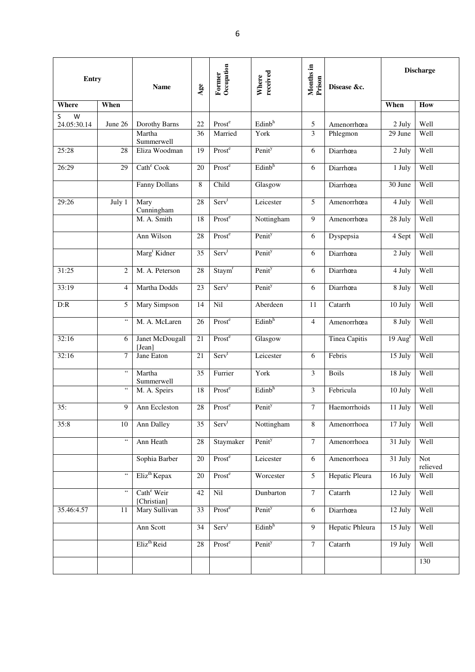| Entry                 |                                                   | <b>Name</b>                           | Age | Occupation<br>Former | received<br>Where  | Months in<br>Prison | Disease &c.     |                    | <b>Discharge</b> |  |
|-----------------------|---------------------------------------------------|---------------------------------------|-----|----------------------|--------------------|---------------------|-----------------|--------------------|------------------|--|
| Where                 | When                                              |                                       |     |                      |                    |                     |                 | When               | How              |  |
| S<br>W<br>24.05:30.14 | June 26                                           | Dorothy Barns                         | 22  | Prost <sup>e</sup>   | Edinb <sup>h</sup> | 5                   | Amenorrhœa      | 2 July             | Well             |  |
|                       |                                                   | Martha<br>Summerwell                  | 36  | Married              | York               | 3                   | Phlegmon        | 29 June            | Well             |  |
| 25:28                 | 28                                                | Eliza Woodman                         | 19  | Prost <sup>e</sup>   | Penit <sup>y</sup> | 6                   | Diarrhœa        | 2 July             | Well             |  |
| 26:29                 | 29                                                | Cath <sup>e</sup> Cook                | 20  | Prost <sup>e</sup>   | Edinb <sup>h</sup> | 6                   | Diarrhœa        | 1 July             | Well             |  |
|                       |                                                   | Fanny Dollans                         | 8   | Child                | Glasgow            |                     | Diarrhœa        | 30 June            | Well             |  |
| 29:26                 | July 1                                            | Mary<br>Cunningham                    | 28  | Serv <sup>t</sup>    | Leicester          | 5                   | Amenorrhœa      | 4 July             | Well             |  |
|                       |                                                   | M. A. Smith                           | 18  | Prost <sup>e</sup>   | Nottingham         | 9                   | Amenorrhœa      | 28 July            | Well             |  |
|                       |                                                   | Ann Wilson                            | 28  | Prost <sup>e</sup>   | Penity             | 6                   | Dyspepsia       | 4 Sept             | Well             |  |
|                       |                                                   | Marg <sup>t</sup> Kidner              | 35  | Serv <sup>t</sup>    | Penit <sup>y</sup> | 6                   | Diarrhœa        | 2 July             | Well             |  |
| 31:25                 | 2                                                 | M. A. Peterson                        | 28  | Staym <sup>r</sup>   | Penit <sup>y</sup> | 6                   | Diarrhœa        | 4 July             | Well             |  |
| 33:19                 | $\overline{4}$                                    | Martha Dodds                          | 23  | Serv <sup>t</sup>    | Penit <sup>y</sup> | 6                   | Diarrhœa        | 8 July             | Well             |  |
| D:R                   | 5                                                 | <b>Mary Simpson</b>                   | 14  | Nil                  | Aberdeen           | 11                  | Catarrh         | 10 July            | Well             |  |
|                       | $\mathfrak{c}\mathfrak{c}$                        | M. A. McLaren                         | 26  | Prost <sup>e</sup>   | Edinb <sup>h</sup> | $\overline{4}$      | Amenorrhœa      | 8 July             | Well             |  |
| 32:16                 | 6                                                 | Janet McDougall<br>[Jean]             | 21  | Prost <sup>e</sup>   | Glasgow            |                     | Tinea Capitis   | $19 \text{ Aug}^t$ | Well             |  |
| 32:16                 | $\overline{7}$                                    | Jane Eaton                            | 21  | Serv <sup>t</sup>    | Leicester          | 6                   | Febris          | 15 July            | Well             |  |
|                       | $\zeta\,\zeta$                                    | Martha<br>Summerwell                  | 35  | Furrier              | York               | 3                   | <b>Boils</b>    | 18 July            | Well             |  |
|                       | $\zeta$ $\zeta$                                   | M. A. Speirs                          | 18  | Prost <sup>e</sup>   | Edinb <sup>h</sup> | 3                   | Febricula       | $10$ July          | Well             |  |
| 35:                   | 9                                                 | Ann Eccleston                         | 28  | Prost <sup>e</sup>   | Penity             | $\overline{7}$      | Haemorrhoids    | 11 July            | Well             |  |
| 35:8                  | 10                                                | Ann Dalley                            | 35  | Serv <sup>t</sup>    | Nottingham         | 8                   | Amenorrhoea     | 17 July            | Well             |  |
|                       | $\epsilon\epsilon$                                | Ann Heath                             | 28  | Staymaker            | Penit <sup>y</sup> | $\overline{7}$      | Amenorrhoea     | 31 July            | Well             |  |
|                       |                                                   | Sophia Barber                         | 20  | Prost <sup>e</sup>   | Leicester          | 6                   | Amenorrhoea     | 31 July            | Not<br>relieved  |  |
|                       | $\epsilon$ $\epsilon$                             | Eliz <sup>th</sup> Kepax              | 20  | Prost <sup>e</sup>   | Worcester          | 5                   | Hepatic Pleura  | 16 July            | Well             |  |
|                       | $\boldsymbol{\varsigma}$ $\boldsymbol{\varsigma}$ | Cath <sup>e</sup> Weir<br>[Christian] | 42  | Nil                  | Dunbarton          | $\overline{7}$      | Catarrh         | 12 July            | Well             |  |
| 35.46:4.57            | 11                                                | Mary Sullivan                         | 33  | Prost <sup>e</sup>   | Penit <sup>y</sup> | 6                   | Diarrhœa        | 12 July            | Well             |  |
|                       |                                                   | Ann Scott                             | 34  | Serv <sup>t</sup>    | Edinb <sup>h</sup> | $\overline{9}$      | Hepatic Phleura | 15 July            | Well             |  |
|                       |                                                   | Eliz <sup>th</sup> Reid               | 28  | Prost <sup>e</sup>   | Penit <sup>y</sup> | $\overline{7}$      | Catarrh         | 19 July            | Well             |  |
|                       |                                                   |                                       |     |                      |                    |                     |                 |                    | 130              |  |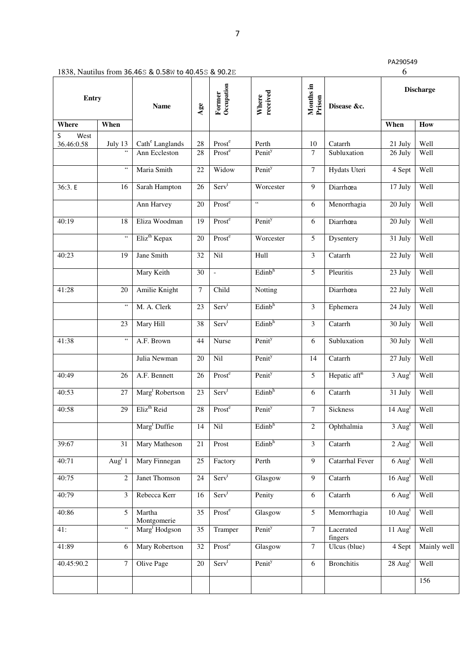| <b>Entry</b> |                                       | <b>Name</b>                 |                 |                    | Age                        | Occupation<br>Former | received<br>Where        | Months in<br>Prison                      | Disease &c. |  | <b>Discharge</b> |
|--------------|---------------------------------------|-----------------------------|-----------------|--------------------|----------------------------|----------------------|--------------------------|------------------------------------------|-------------|--|------------------|
| Where        | When                                  |                             |                 |                    |                            |                      |                          | When                                     | How         |  |                  |
| West<br>S    |                                       |                             |                 |                    |                            |                      |                          |                                          |             |  |                  |
| 36.46:0.58   | July 13                               | Cath <sup>e</sup> Langlands | 28              | Prost <sup>e</sup> | Perth                      | 10                   | Catarrh                  | 21 July                                  | Well        |  |                  |
|              | $\overline{\mathfrak{c}}$             | Ann Eccleston               | 28              | Prost <sup>e</sup> | Penit <sup>y</sup>         | 7                    | Subluxation              | 26 July                                  | Well        |  |                  |
|              | $\mathfrak{c}\mathfrak{c}$            | Maria Smith                 | 22              | Widow              | Penit <sup>y</sup>         | $\tau$               | Hydats Uteri             | 4 Sept                                   | Well        |  |                  |
| 36:3. E      | 16                                    | Sarah Hampton               | 26              | Serv <sup>t</sup>  | Worcester                  | 9                    | Diarrhœa                 | 17 July                                  | Well        |  |                  |
|              |                                       | Ann Harvey                  | 20              | Prost <sup>e</sup> | $\mathfrak{c}\mathfrak{c}$ | 6                    | Menorrhagia              | 20 July                                  | Well        |  |                  |
| 40:19        | 18                                    | Eliza Woodman               | 19              | Prost <sup>e</sup> | Penit <sup>y</sup>         | 6                    | Diarrhœa                 | 20 July                                  | Well        |  |                  |
|              | $\epsilon\,\epsilon$                  | Eliz <sup>th</sup> Kepax    | 20              | Prost <sup>e</sup> | Worcester                  | 5                    | Dysentery                | 31 July                                  | Well        |  |                  |
| 40:23        | $\overline{19}$                       | Jane Smith                  | $\overline{32}$ | Nil                | Hull                       | 3                    | Catarrh                  | 22 July                                  | Well        |  |                  |
|              |                                       | Mary Keith                  | 30              | $\equiv$           | Edinb <sup>h</sup>         | $\overline{5}$       | Pleuritis                | 23 July                                  | Well        |  |                  |
| 41:28        | 20                                    | Amilie Knight               | $\tau$          | Child              | Notting                    |                      | Diarrhœa                 | 22 July                                  | Well        |  |                  |
|              | $\epsilon$ $\epsilon$                 | M. A. Clerk                 | 23              | Serv <sup>t</sup>  | Edinb <sup>h</sup>         | 3                    | Ephemera                 | $\overline{24}$ July                     | Well        |  |                  |
|              | 23                                    | Mary Hill                   | 38              | Serv <sup>t</sup>  | Edinb <sup>h</sup>         | 3                    | Catarrh                  | 30 July                                  | Well        |  |                  |
| 41:38        | $\overline{\mathfrak{c}}\mathfrak{c}$ | A.F. Brown                  | 44              | Nurse              | Penity                     | 6                    | Subluxation              | 30 July                                  | Well        |  |                  |
|              |                                       | Julia Newman                | 20              | Nil                | Penit <sup>y</sup>         | 14                   | Catarrh                  | 27 July                                  | Well        |  |                  |
| 40:49        | 26                                    | A.F. Bennett                | 26              | Prost <sup>e</sup> | Penit <sup>y</sup>         | 5                    | Hepatic aff <sup>n</sup> | $3$ Aug <sup>t</sup>                     | Well        |  |                  |
| 40:53        | 27                                    | Marg <sup>t</sup> Robertson | 23              | Serv <sup>t</sup>  | Edinb <sup>h</sup>         | 6                    | Catarrh                  | 31 July                                  | Well        |  |                  |
| 40:58        | 29                                    | Eliz <sup>th</sup> Reid     | 28              | Prost <sup>e</sup> | Penit <sup>y</sup>         | 7                    | Sickness                 | $14 \text{ Aug}^t$                       | Well        |  |                  |
|              |                                       | Marg <sup>t</sup> Duffie    | 14              | Nil                | Edinb <sup>h</sup>         | $\overline{2}$       | Ophthalmia               | $3$ Aug <sup>t</sup>                     | Well        |  |                  |
| 39:67        | 31                                    | Mary Matheson               | 21              | Prost              | Edinb <sup>h</sup>         | 3                    | Catarrh                  | $2$ Aug <sup>t</sup>                     | Well        |  |                  |
| 40:71        | Aug <sup>t</sup> $1$                  | Mary Finnegan               | 25              | Factory            | Perth                      | 9                    | Catarrhal Fever          | $6 \overline{\mathrm{Aug}^{\mathrm{t}}}$ | Well        |  |                  |
| 40:75        | $\overline{c}$                        | Janet Thomson               | 24              | Serv <sup>t</sup>  | Glasgow                    | 9                    | Catarrh                  | $16$ Aug <sup>t</sup>                    | Well        |  |                  |
| 40:79        | 3                                     | Rebecca Kerr                | 16              | Serv <sup>t</sup>  | Penity                     | 6                    | Catarrh                  | $6$ Aug <sup>t</sup>                     | Well        |  |                  |
| 40:86        | 5                                     | Martha<br>Montgomerie       | 35              | Prost <sup>e</sup> | Glasgow                    | 5                    | Memorrhagia              | $10 \text{ Aug}^t$                       | Well        |  |                  |
| 41:          | $\overline{\mathfrak{c}}$             | Marg <sup>t</sup> Hodgson   | 35              | Tramper            | Penity                     | 7                    | Lacerated<br>fingers     | $11$ Aug <sup>t</sup>                    | Well        |  |                  |
| 41:89        | 6                                     | Mary Robertson              | 32              | Prost <sup>e</sup> | Glasgow                    | $\tau$               | Ulcus (blue)             | 4 Sept                                   | Mainly well |  |                  |
| 40.45:90.2   | 7                                     | <b>Olive Page</b>           | 20              | Serv <sup>t</sup>  | Penit <sup>y</sup>         | 6                    | <b>Bronchitis</b>        | $28$ Aug <sup>t</sup>                    | Well        |  |                  |
|              |                                       |                             |                 |                    |                            |                      |                          |                                          | 156         |  |                  |

1838, Nautilus from 36.46S & 0.58W to 40.45S & 90.2E 6

7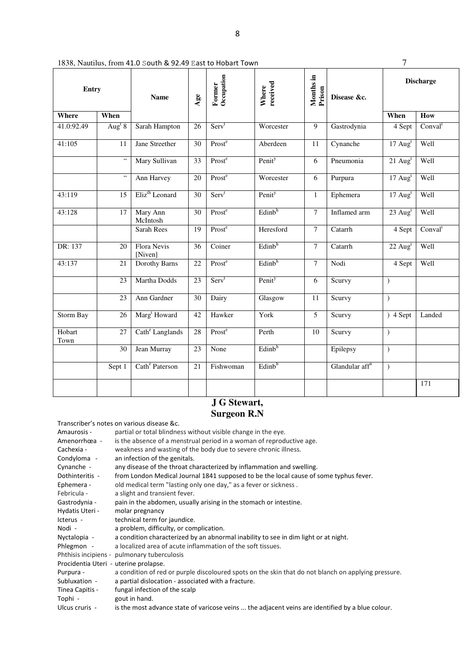| 1838, Nautilus, from 41.0 South & 92.49 East to Hobart Town |  |
|-------------------------------------------------------------|--|
|-------------------------------------------------------------|--|

| <b>Entry</b>   |                      | <b>Name</b>                 | Age             | Occupation<br>Months in<br>received<br>Former<br>Where<br>Prison<br>Disease &c. |                    |                | <b>Discharge</b>           |                       |                     |
|----------------|----------------------|-----------------------------|-----------------|---------------------------------------------------------------------------------|--------------------|----------------|----------------------------|-----------------------|---------------------|
| Where          | When                 |                             |                 |                                                                                 |                    |                |                            | When                  | How                 |
| 41.0:92.49     | Aug <sup>t</sup> $8$ | Sarah Hampton               | 26              | Serv <sup>t</sup>                                                               | Worcester          | $\overline{9}$ | Gastrodynia                | 4 Sept                | Conval <sup>t</sup> |
| 41:105         | 11                   | Jane Streether              | 30              | Prost <sup>e</sup>                                                              | Aberdeen           | 11             | Cynanche                   | $17$ Aug <sup>t</sup> | Well                |
|                | $\zeta$ $\zeta$      | Mary Sullivan               | 33              | Prost <sup>e</sup>                                                              | Penity             | 6              | Pneumonia                  | $21$ Aug <sup>t</sup> | Well                |
|                | $\zeta\,\zeta$       | Ann Harvey                  | 20              | Prost <sup>e</sup>                                                              | Worcester          | 6              | Purpura                    | $17 \text{ Aug}^t$    | Well                |
| 43:119         | $\overline{15}$      | Eliz <sup>th</sup> Leonard  | 30              | Serv <sup>t</sup>                                                               | Penit <sup>y</sup> | $\mathbf{1}$   | Ephemera                   | $17 \text{ Aug}^t$    | Well                |
| 43:128         | 17                   | Mary Ann<br>McIntosh        | 30              | Prost <sup>e</sup>                                                              | Edinb <sup>h</sup> | $\overline{7}$ | Inflamed arm               | $23$ Aug <sup>t</sup> | Well                |
|                |                      | Sarah Rees                  | 19              | Prost <sup>e</sup>                                                              | Heresford          | $\overline{7}$ | Catarrh                    | 4 Sept                | Conval <sup>t</sup> |
| DR: 137        | 20                   | Flora Nevis<br>[Niven]      | 36              | Coiner                                                                          | Edinb <sup>h</sup> | $\overline{7}$ | Catarrh                    | $22 \text{ Aug}^t$    | Well                |
| 43:137         | 21                   | Dorothy Barns               | 22              | Prost <sup>e</sup>                                                              | Edinb <sup>h</sup> | $\overline{7}$ | Nodi                       | 4 Sept                | Well                |
|                | 23                   | Martha Dodds                | $\overline{23}$ | Serv <sup>t</sup>                                                               | Penity             | 6              | Scurvy                     | $\mathcal{L}$         |                     |
|                | 23                   | Ann Gardner                 | 30              | Dairy                                                                           | Glasgow            | 11             | Scurvy                     | $\mathcal{L}$         |                     |
| Storm Bay      | 26                   | Marg <sup>t</sup> Howard    | 42              | Hawker                                                                          | York               | 5              | Scurvy                     | $)4$ Sept             | Landed              |
| Hobart<br>Town | 27                   | Cath <sup>e</sup> Langlands | 28              | $\overline{\text{Prost}}^e$                                                     | Perth              | 10             | Scurvy                     | $\mathcal{E}$         |                     |
|                | 30                   | Jean Murray                 | 23              | None                                                                            | Edinb <sup>h</sup> |                | Epilepsy                   | $\mathcal{E}$         |                     |
|                | Sept 1               | Cath <sup>e</sup> Paterson  | 21              | Fishwoman                                                                       | Edinb <sup>h</sup> |                | Glandular aff <sup>n</sup> | $\mathcal{L}$         |                     |
|                |                      |                             |                 |                                                                                 |                    |                |                            |                       | 171                 |

## **J G Stewart, Surgeon R.N**

|                                       | Transcriber's notes on various disease &c.                                                          |
|---------------------------------------|-----------------------------------------------------------------------------------------------------|
| Amaurosis -                           | partial or total blindness without visible change in the eye.                                       |
| Amenorrhœa -                          | is the absence of a menstrual period in a woman of reproductive age.                                |
| Cachexia -                            | weakness and wasting of the body due to severe chronic illness.                                     |
| Condyloma -                           | an infection of the genitals.                                                                       |
| Cynanche -                            | any disease of the throat characterized by inflammation and swelling.                               |
| Dothinteritis -                       | from London Medical Journal 1841 supposed to be the local cause of some typhus fever.               |
| Ephemera -                            | old medical term "lasting only one day," as a fever or sickness.                                    |
| Febricula -                           | a slight and transient fever.                                                                       |
| Gastrodynia -                         | pain in the abdomen, usually arising in the stomach or intestine.                                   |
| Hydatis Uteri -                       | molar pregnancy                                                                                     |
| Icterus -                             | technical term for jaundice.                                                                        |
| Nodi -                                | a problem, difficulty, or complication.                                                             |
| Nyctalopia -                          | a condition characterized by an abnormal inability to see in dim light or at night.                 |
| Phlegmon -                            | a localized area of acute inflammation of the soft tissues.                                         |
|                                       | Phthisis incipiens - pulmonary tuberculosis                                                         |
| Procidentia Uteri - uterine prolapse. |                                                                                                     |
| Purpura -                             | a condition of red or purple discoloured spots on the skin that do not blanch on applying pressure. |
| Subluxation -                         | a partial dislocation - associated with a fracture.                                                 |
| Tinea Capitis -                       | fungal infection of the scalp                                                                       |
| Tophi -                               | gout in hand.                                                                                       |
| Ulcus cruris -                        | is the most advance state of varicose veins  the adjacent veins are identified by a blue colour.    |
|                                       |                                                                                                     |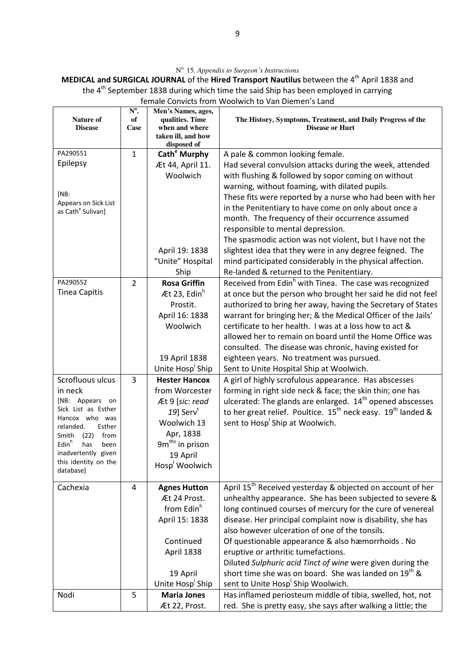N o. 15*. Appendix to Surgeon's Instructions*

**MEDICAL and SURGICAL JOURNAL** of the **Hired Transport Nautilus** between the 4<sup>th</sup> April 1838 and the 4<sup>th</sup> September 1838 during which time the said Ship has been employed in carrying female Convicts from Woolwich to Van Diemen's Land

|                                                         | $N^0$ .        | Men's Names, ages,                |                                                                                       |
|---------------------------------------------------------|----------------|-----------------------------------|---------------------------------------------------------------------------------------|
| <b>Nature of</b><br><b>Disease</b>                      | of<br>Case     | qualities. Time<br>when and where | The History, Symptoms, Treatment, and Daily Progress of the<br><b>Disease or Hurt</b> |
|                                                         |                | taken ill, and how                |                                                                                       |
|                                                         |                | disposed of                       |                                                                                       |
| PA290551<br>Epilepsy                                    | $\mathbf{1}$   | Cath <sup>e</sup> Murphy          | A pale & common looking female.                                                       |
|                                                         |                | Æt 44, April 11.                  | Had several convulsion attacks during the week, attended                              |
|                                                         |                | Woolwich                          | with flushing & followed by sopor coming on without                                   |
| [NB:                                                    |                |                                   | warning, without foaming, with dilated pupils.                                        |
| Appears on Sick List                                    |                |                                   | These fits were reported by a nurse who had been with her                             |
| as Cath <sup>e</sup> Sulivan]                           |                |                                   | in the Penitentiary to have come on only about once a                                 |
|                                                         |                |                                   | month. The frequency of their occurrence assumed                                      |
|                                                         |                |                                   | responsible to mental depression.                                                     |
|                                                         |                |                                   | The spasmodic action was not violent, but I have not the                              |
|                                                         |                | April 19: 1838                    | slightest idea that they were in any degree feigned. The                              |
|                                                         |                | "Unite" Hospital                  | mind participated considerably in the physical affection.                             |
|                                                         |                | Ship                              | Re-landed & returned to the Penitentiary.                                             |
| PA290552                                                | $\overline{2}$ | <b>Rosa Griffin</b>               | Received from Edin <sup>h</sup> with Tinea. The case was recognized                   |
| <b>Tinea Capitis</b>                                    |                | At 23, Edin <sup>h</sup>          | at once but the person who brought her said he did not feel                           |
|                                                         |                | Prostit.                          | authorized to bring her away, having the Secretary of States                          |
|                                                         |                | April 16: 1838                    | warrant for bringing her; & the Medical Officer of the Jails'                         |
|                                                         |                | Woolwich                          | certificate to her health. I was at a loss how to act &                               |
|                                                         |                |                                   | allowed her to remain on board until the Home Office was                              |
|                                                         |                |                                   | consulted. The disease was chronic, having existed for                                |
|                                                         |                | 19 April 1838                     | eighteen years. No treatment was pursued.                                             |
|                                                         |                | Unite Hosp <sup>'</sup> Ship      | Sent to Unite Hospital Ship at Woolwich.                                              |
| Scrofluous ulcus                                        | 3              | <b>Hester Hancox</b>              | A girl of highly scrofulous appearance. Has abscesses                                 |
| in neck                                                 |                | from Worcester                    | forming in right side neck & face; the skin thin; one has                             |
| [NB: Appears on<br>Sick List as Esther                  |                | Æt 9 [sic: read                   | ulcerated: The glands are enlarged. $14th$ opened abscesses                           |
| Hancox who was                                          |                | 19] Serv <sup>t</sup>             | to her great relief. Poultice. $15^{th}$ neck easy. $19^{th}$ landed &                |
| relanded.<br>Esther                                     |                | Woolwich 13                       | sent to Hosp Ship at Woolwich.                                                        |
| Smith<br>(22)<br>from                                   |                | Apr, 1838                         |                                                                                       |
| Edin <sup>h</sup><br>has<br>been<br>inadvertently given |                | 9m <sup>ths</sup> in prison       |                                                                                       |
| this identity on the                                    |                | 19 April                          |                                                                                       |
| database]                                               |                | Hosp <sup>I</sup> Woolwich        |                                                                                       |
| Cachexia                                                | 4              | <b>Agnes Hutton</b>               | April 15 <sup>th</sup> Received yesterday & objected on account of her                |
|                                                         |                | Æt 24 Prost.                      | unhealthy appearance. She has been subjected to severe &                              |
|                                                         |                | from Edin <sup>h</sup>            | long continued courses of mercury for the cure of venereal                            |
|                                                         |                | April 15: 1838                    | disease. Her principal complaint now is disability, she has                           |
|                                                         |                |                                   | also however ulceration of one of the tonsils.                                        |
|                                                         |                | Continued                         | Of questionable appearance & also hæmorrhoids. No                                     |
|                                                         |                | April 1838                        | eruptive or arthritic tumefactions.                                                   |
|                                                         |                |                                   | Diluted Sulphuric acid Tinct of wine were given during the                            |
|                                                         |                | 19 April                          | short time she was on board. She was landed on 19 <sup>th</sup> &                     |
|                                                         |                | Unite Hosp Ship                   | sent to Unite Hosp <sup>'</sup> Ship Woolwich.                                        |
| Nodi                                                    | 5              | <b>Maria Jones</b>                | Has inflamed periosteum middle of tibia, swelled, hot, not                            |
|                                                         |                | Æt 22, Prost.                     | red. She is pretty easy, she says after walking a little; the                         |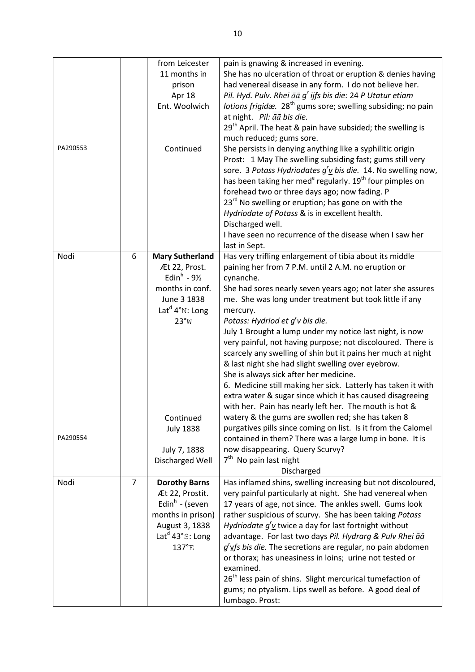|          |                | from Leicester                       | pain is gnawing & increased in evening.                                          |
|----------|----------------|--------------------------------------|----------------------------------------------------------------------------------|
|          |                | 11 months in                         | She has no ulceration of throat or eruption & denies having                      |
|          |                | prison                               | had venereal disease in any form. I do not believe her.                          |
|          |                | Apr 18                               | Pil. Hyd. Pulv. Rhei āā g' ijfs bis die: 24 P Utatur etiam                       |
|          |                | Ent. Woolwich                        | lotions frigidæ. 28 <sup>th</sup> gums sore; swelling subsiding; no pain         |
|          |                |                                      | at night. Pil: āā bis die.                                                       |
|          |                |                                      | 29 <sup>th</sup> April. The heat & pain have subsided; the swelling is           |
|          |                |                                      | much reduced; gums sore.                                                         |
| PA290553 |                | Continued                            | She persists in denying anything like a syphilitic origin                        |
|          |                |                                      | Prost: 1 May The swelling subsiding fast; gums still very                        |
|          |                |                                      |                                                                                  |
|          |                |                                      | sore. 3 Potass Hydriodates $g'$ <u>v</u> bis die. 14. No swelling now,           |
|          |                |                                      | has been taking her med <sup>e</sup> regularly. 19 <sup>th</sup> four pimples on |
|          |                |                                      | forehead two or three days ago; now fading. P                                    |
|          |                |                                      | 23 <sup>rd</sup> No swelling or eruption; has gone on with the                   |
|          |                |                                      | Hydriodate of Potass & is in excellent health.                                   |
|          |                |                                      | Discharged well.                                                                 |
|          |                |                                      | I have seen no recurrence of the disease when I saw her                          |
|          |                |                                      | last in Sept.                                                                    |
| Nodi     | 6              | <b>Mary Sutherland</b>               | Has very trifling enlargement of tibia about its middle                          |
|          |                | Æt 22, Prost.                        | paining her from 7 P.M. until 2 A.M. no eruption or                              |
|          |                | Edin <sup>h</sup> - $9\frac{1}{2}$   | cynanche.                                                                        |
|          |                | months in conf.                      | She had sores nearly seven years ago; not later she assures                      |
|          |                | June 3 1838                          | me. She was long under treatment but took little if any                          |
|          |                | Lat <sup>d</sup> $4^{\circ}$ N: Long | mercury.                                                                         |
|          |                | 23°W                                 | Potass: Hydriod et $g'$ <u>v</u> bis die.                                        |
|          |                |                                      | July 1 Brought a lump under my notice last night, is now                         |
|          |                |                                      | very painful, not having purpose; not discoloured. There is                      |
|          |                |                                      | scarcely any swelling of shin but it pains her much at night                     |
|          |                |                                      | & last night she had slight swelling over eyebrow.                               |
|          |                |                                      | She is always sick after her medicine.                                           |
|          |                |                                      | 6. Medicine still making her sick. Latterly has taken it with                    |
|          |                |                                      | extra water & sugar since which it has caused disagreeing                        |
|          |                |                                      | with her. Pain has nearly left her. The mouth is hot &                           |
|          |                | Continued                            | watery & the gums are swollen red; she has taken 8                               |
|          |                | <b>July 1838</b>                     | purgatives pills since coming on list. Is it from the Calomel                    |
| PA290554 |                |                                      | contained in them? There was a large lump in bone. It is                         |
|          |                | July 7, 1838                         | now disappearing. Query Scurvy?                                                  |
|          |                | Discharged Well                      | $7th$ No pain last night                                                         |
|          |                |                                      | Discharged                                                                       |
| Nodi     | $\overline{7}$ | <b>Dorothy Barns</b>                 | Has inflamed shins, swelling increasing but not discoloured,                     |
|          |                | Æt 22, Prostit.                      | very painful particularly at night. She had venereal when                        |
|          |                | Edin <sup>h</sup> - (seven           | 17 years of age, not since. The ankles swell. Gums look                          |
|          |                | months in prison)                    | rather suspicious of scurvy. She has been taking Potass                          |
|          |                | August 3, 1838                       | Hydriodate $g'v$ twice a day for last fortnight without                          |
|          |                | Lat <sup>d</sup> 43°S: Long          | advantage. For last two days Pil. Hydrarg & Pulv Rhei āā                         |
|          |                | 137°E                                | g'vfs bis die. The secretions are regular, no pain abdomen                       |
|          |                |                                      |                                                                                  |
|          |                |                                      | or thorax; has uneasiness in loins; urine not tested or<br>examined.             |
|          |                |                                      | 26 <sup>th</sup> less pain of shins. Slight mercurical tumefaction of            |
|          |                |                                      |                                                                                  |
|          |                |                                      | gums; no ptyalism. Lips swell as before. A good deal of                          |
|          |                |                                      | lumbago. Prost:                                                                  |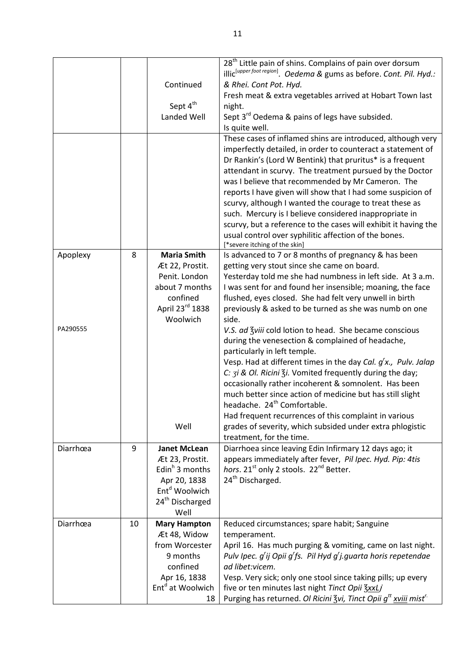|          |    |                              | 28 <sup>th</sup> Little pain of shins. Complains of pain over dorsum                    |
|----------|----|------------------------------|-----------------------------------------------------------------------------------------|
|          |    |                              | illic <sup>[upperfoot region]</sup> . Oedema & gums as before. Cont. Pil. Hyd.:         |
|          |    | Continued                    | & Rhei. Cont Pot. Hyd.                                                                  |
|          |    |                              | Fresh meat & extra vegetables arrived at Hobart Town last                               |
|          |    | Sept 4 <sup>th</sup>         | night.                                                                                  |
|          |    | Landed Well                  | Sept 3 <sup>rd</sup> Oedema & pains of legs have subsided.                              |
|          |    |                              | Is quite well.                                                                          |
|          |    |                              | These cases of inflamed shins are introduced, although very                             |
|          |    |                              | imperfectly detailed, in order to counteract a statement of                             |
|          |    |                              | Dr Rankin's (Lord W Bentink) that pruritus* is a frequent                               |
|          |    |                              | attendant in scurvy. The treatment pursued by the Doctor                                |
|          |    |                              | was I believe that recommended by Mr Cameron. The                                       |
|          |    |                              |                                                                                         |
|          |    |                              | reports I have given will show that I had some suspicion of                             |
|          |    |                              | scurvy, although I wanted the courage to treat these as                                 |
|          |    |                              | such. Mercury is I believe considered inappropriate in                                  |
|          |    |                              | scurvy, but a reference to the cases will exhibit it having the                         |
|          |    |                              | usual control over syphilitic affection of the bones.                                   |
|          |    |                              | [*severe itching of the skin]                                                           |
| Apoplexy | 8  | <b>Maria Smith</b>           | Is advanced to 7 or 8 months of pregnancy & has been                                    |
|          |    | Æt 22, Prostit.              | getting very stout since she came on board.                                             |
|          |    | Penit. London                | Yesterday told me she had numbness in left side. At 3 a.m.                              |
|          |    | about 7 months               | I was sent for and found her insensible; moaning, the face                              |
|          |    | confined                     | flushed, eyes closed. She had felt very unwell in birth                                 |
|          |    | April 23rd 1838              | previously & asked to be turned as she was numb on one                                  |
|          |    | Woolwich                     | side.                                                                                   |
| PA290555 |    |                              | V.S. ad 3viii cold lotion to head. She became conscious                                 |
|          |    |                              | during the venesection & complained of headache,                                        |
|          |    |                              | particularly in left temple.                                                            |
|          |    |                              | Vesp. Had at different times in the day Cal. $g'x$ ., Pulv. Jalap                       |
|          |    |                              | C: 3i & Ol. Ricini 3i. Vomited frequently during the day;                               |
|          |    |                              | occasionally rather incoherent & somnolent. Has been                                    |
|          |    |                              | much better since action of medicine but has still slight                               |
|          |    |                              | headache. 24 <sup>th</sup> Comfortable.                                                 |
|          |    |                              | Had frequent recurrences of this complaint in various                                   |
|          |    | Well                         |                                                                                         |
|          |    |                              | grades of severity, which subsided under extra phlogistic<br>treatment, for the time.   |
|          |    |                              |                                                                                         |
| Diarrhœa | 9  | <b>Janet McLean</b>          | Diarrhoea since leaving Edin Infirmary 12 days ago; it                                  |
|          |    | Æt 23, Prostit.              | appears immediately after fever, Pil Ipec. Hyd. Pip: 4tis                               |
|          |    | Edin <sup>h</sup> 3 months   | hors. 21 <sup>st</sup> only 2 stools. 22 <sup>nd</sup> Better.                          |
|          |    | Apr 20, 1838                 | 24 <sup>th</sup> Discharged.                                                            |
|          |    | Ent <sup>d</sup> Woolwich    |                                                                                         |
|          |    | 24 <sup>th</sup> Discharged  |                                                                                         |
|          |    | Well                         |                                                                                         |
| Diarrhœa | 10 | <b>Mary Hampton</b>          | Reduced circumstances; spare habit; Sanguine                                            |
|          |    | Æt 48, Widow                 | temperament.                                                                            |
|          |    | from Worcester               | April 16. Has much purging & vomiting, came on last night.                              |
|          |    | 9 months                     | Pulv Ipec. g'ij Opii g'fs. Pil Hyd g'j.guarta horis repetendae                          |
|          |    | confined                     | ad libet:vicem.                                                                         |
|          |    | Apr 16, 1838                 | Vesp. Very sick; only one stool since taking pills; up every                            |
|          |    | Ent <sup>d</sup> at Woolwich | five or ten minutes last night Tinct Opii ZxxLj                                         |
|          |    | 18                           | Purging has returned. Ol Ricini Zvi, Tinct Opii g <sup>tt</sup> xviii mist <sup>r</sup> |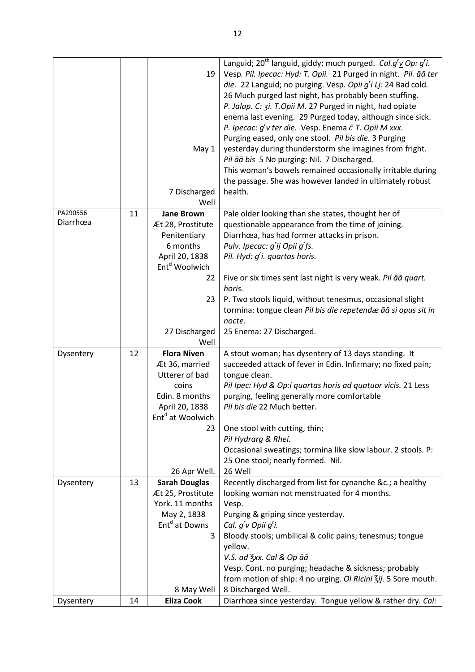|           |    | 19<br>May 1<br>7 Discharged<br>Well  | Languid; 20 <sup>th</sup> languid, giddy; much purged. <i>Cal.g<sup>r</sup>v Op: g<sup>r</sup>i.</i><br>Vesp. Pil. Ipecac: Hyd: T. Opii. 21 Purged in night. Pil. āā ter<br>die. 22 Languid; no purging. Vesp. Opii g'i Lj: 24 Bad cold.<br>26 Much purged last night, has probably been stuffing.<br>P. Jalap. C: 3i. T.Opii M. 27 Purged in night, had opiate<br>enema last evening. 29 Purged today, although since sick.<br>P. Ipecac: $g'v$ ter die. Vesp. Enema $\bar{c}$ T. Opii M xxx.<br>Purging eased, only one stool. Pil bis die. 3 Purging<br>yesterday during thunderstorm she imagines from fright.<br>Pil āā bis 5 No purging: Nil. 7 Discharged.<br>This woman's bowels remained occasionally irritable during<br>the passage. She was however landed in ultimately robust<br>health. |
|-----------|----|--------------------------------------|--------------------------------------------------------------------------------------------------------------------------------------------------------------------------------------------------------------------------------------------------------------------------------------------------------------------------------------------------------------------------------------------------------------------------------------------------------------------------------------------------------------------------------------------------------------------------------------------------------------------------------------------------------------------------------------------------------------------------------------------------------------------------------------------------------|
| PA290556  | 11 | <b>Jane Brown</b>                    | Pale older looking than she states, thought her of                                                                                                                                                                                                                                                                                                                                                                                                                                                                                                                                                                                                                                                                                                                                                     |
| Diarrhœa  |    | Æt 28, Prostitute                    | questionable appearance from the time of joining.                                                                                                                                                                                                                                                                                                                                                                                                                                                                                                                                                                                                                                                                                                                                                      |
|           |    | Penitentiary                         | Diarrhœa, has had former attacks in prison.                                                                                                                                                                                                                                                                                                                                                                                                                                                                                                                                                                                                                                                                                                                                                            |
|           |    | 6 months<br>April 20, 1838           | Pulv. Ipecac: g'ij Opii g'fs.<br>Pil. Hyd: $g'$ i. quartas horis.                                                                                                                                                                                                                                                                                                                                                                                                                                                                                                                                                                                                                                                                                                                                      |
|           |    | Ent <sup>d</sup> Woolwich            |                                                                                                                                                                                                                                                                                                                                                                                                                                                                                                                                                                                                                                                                                                                                                                                                        |
|           |    | 22                                   | Five or six times sent last night is very weak. Pil āā quart.                                                                                                                                                                                                                                                                                                                                                                                                                                                                                                                                                                                                                                                                                                                                          |
|           |    |                                      | horis.                                                                                                                                                                                                                                                                                                                                                                                                                                                                                                                                                                                                                                                                                                                                                                                                 |
|           |    | 23                                   | P. Two stools liquid, without tenesmus, occasional slight                                                                                                                                                                                                                                                                                                                                                                                                                                                                                                                                                                                                                                                                                                                                              |
|           |    |                                      | tormina: tongue clean Pil bis die repetendæ āā si opus sit in                                                                                                                                                                                                                                                                                                                                                                                                                                                                                                                                                                                                                                                                                                                                          |
|           |    |                                      | nocte.                                                                                                                                                                                                                                                                                                                                                                                                                                                                                                                                                                                                                                                                                                                                                                                                 |
|           |    | 27 Discharged                        | 25 Enema: 27 Discharged.                                                                                                                                                                                                                                                                                                                                                                                                                                                                                                                                                                                                                                                                                                                                                                               |
|           |    | Well                                 |                                                                                                                                                                                                                                                                                                                                                                                                                                                                                                                                                                                                                                                                                                                                                                                                        |
| Dysentery | 12 | <b>Flora Niven</b><br>Æt 36, married | A stout woman; has dysentery of 13 days standing. It<br>succeeded attack of fever in Edin. Infirmary; no fixed pain;                                                                                                                                                                                                                                                                                                                                                                                                                                                                                                                                                                                                                                                                                   |
|           |    | Utterer of bad                       | tongue clean.                                                                                                                                                                                                                                                                                                                                                                                                                                                                                                                                                                                                                                                                                                                                                                                          |
|           |    | coins                                | Pil Ipec: Hyd & Op:i quartas horis ad quatuor vicis. 21 Less                                                                                                                                                                                                                                                                                                                                                                                                                                                                                                                                                                                                                                                                                                                                           |
|           |    | Edin. 8 months                       | purging, feeling generally more comfortable                                                                                                                                                                                                                                                                                                                                                                                                                                                                                                                                                                                                                                                                                                                                                            |
|           |    | April 20, 1838                       | Pil bis die 22 Much better.                                                                                                                                                                                                                                                                                                                                                                                                                                                                                                                                                                                                                                                                                                                                                                            |
|           |    | Ent <sup>d</sup> at Woolwich         |                                                                                                                                                                                                                                                                                                                                                                                                                                                                                                                                                                                                                                                                                                                                                                                                        |
|           |    | 23                                   | One stool with cutting, thin;                                                                                                                                                                                                                                                                                                                                                                                                                                                                                                                                                                                                                                                                                                                                                                          |
|           |    |                                      | Pil Hydrarg & Rhei.                                                                                                                                                                                                                                                                                                                                                                                                                                                                                                                                                                                                                                                                                                                                                                                    |
|           |    |                                      | Occasional sweatings; tormina like slow labour. 2 stools. P:                                                                                                                                                                                                                                                                                                                                                                                                                                                                                                                                                                                                                                                                                                                                           |
|           |    | 26 Apr Well.                         | 25 One stool; nearly formed. Nil.<br>26 Well                                                                                                                                                                                                                                                                                                                                                                                                                                                                                                                                                                                                                                                                                                                                                           |
| Dysentery | 13 | <b>Sarah Douglas</b>                 | Recently discharged from list for cynanche &c. a healthy                                                                                                                                                                                                                                                                                                                                                                                                                                                                                                                                                                                                                                                                                                                                               |
|           |    | Æt 25, Prostitute                    | looking woman not menstruated for 4 months.                                                                                                                                                                                                                                                                                                                                                                                                                                                                                                                                                                                                                                                                                                                                                            |
|           |    | York. 11 months                      | Vesp.                                                                                                                                                                                                                                                                                                                                                                                                                                                                                                                                                                                                                                                                                                                                                                                                  |
|           |    | May 2, 1838                          | Purging & griping since yesterday.                                                                                                                                                                                                                                                                                                                                                                                                                                                                                                                                                                                                                                                                                                                                                                     |
|           |    | Ent <sup>d</sup> at Downs            | Cal. g'v Opii g'i.                                                                                                                                                                                                                                                                                                                                                                                                                                                                                                                                                                                                                                                                                                                                                                                     |
|           |    | 3                                    | Bloody stools; umbilical & colic pains; tenesmus; tongue                                                                                                                                                                                                                                                                                                                                                                                                                                                                                                                                                                                                                                                                                                                                               |
|           |    |                                      | yellow.                                                                                                                                                                                                                                                                                                                                                                                                                                                                                                                                                                                                                                                                                                                                                                                                |
|           |    |                                      | V.S. ad 3xx. Cal & Op āā                                                                                                                                                                                                                                                                                                                                                                                                                                                                                                                                                                                                                                                                                                                                                                               |
|           |    |                                      | Vesp. Cont. no purging; headache & sickness; probably                                                                                                                                                                                                                                                                                                                                                                                                                                                                                                                                                                                                                                                                                                                                                  |
|           |    |                                      | from motion of ship: 4 no urging. Ol Ricini Zij. 5 Sore mouth.                                                                                                                                                                                                                                                                                                                                                                                                                                                                                                                                                                                                                                                                                                                                         |
| Dysentery | 14 | 8 May Well<br><b>Eliza Cook</b>      | 8 Discharged Well.<br>Diarrhœa since yesterday. Tongue yellow & rather dry. Cal:                                                                                                                                                                                                                                                                                                                                                                                                                                                                                                                                                                                                                                                                                                                       |
|           |    |                                      |                                                                                                                                                                                                                                                                                                                                                                                                                                                                                                                                                                                                                                                                                                                                                                                                        |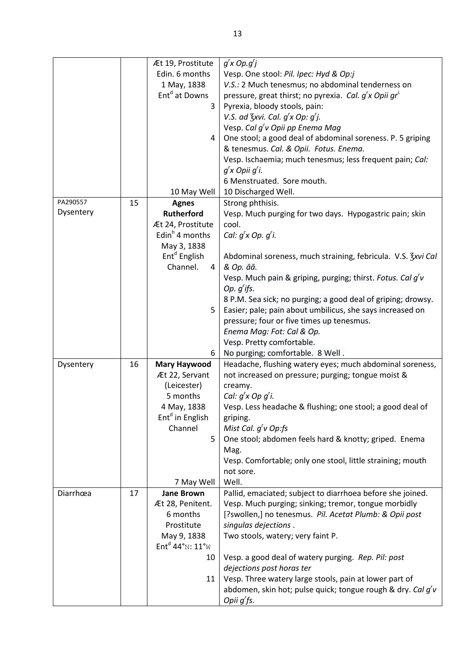|           |    | Æt 19, Prostitute           | $g'$ x Op. $g'$ j                                                  |
|-----------|----|-----------------------------|--------------------------------------------------------------------|
|           |    | Edin. 6 months              | Vesp. One stool: Pil. Ipec: Hyd & Op:j                             |
|           |    | 1 May, 1838                 | V.S.: 2 Much tenesmus; no abdominal tenderness on                  |
|           |    | Ent <sup>d</sup> at Downs   | pressure, great thirst; no pyrexia. Cal. g'x Opii gr <sup>1.</sup> |
|           |    | 3                           | Pyrexia, bloody stools, pain:                                      |
|           |    |                             | V.S. ad $\frac{7}{5}$ xvi. Cal. $g'$ x Op: $g'$ j.                 |
|           |    |                             | Vesp. Cal g'v Opii pp Enema Mag                                    |
|           |    | 4                           | One stool; a good deal of abdominal soreness. P. 5 griping         |
|           |    |                             | & tenesmus. Cal. & Opii. Fotus. Enema.                             |
|           |    |                             | Vesp. Ischaemia; much tenesmus; less frequent pain; Cal:           |
|           |    |                             | $g'$ x Opii $g'$ i.                                                |
|           |    |                             | 6 Menstruated. Sore mouth.                                         |
|           |    |                             |                                                                    |
| PA290557  |    | 10 May Well                 | 10 Discharged Well.                                                |
| Dysentery | 15 | <b>Agnes</b>                | Strong phthisis.                                                   |
|           |    | <b>Rutherford</b>           | Vesp. Much purging for two days. Hypogastric pain; skin            |
|           |    | Æt 24, Prostitute           | cool.                                                              |
|           |    | Edin <sup>h</sup> 4 months  | Cal: $g'$ x Op. $g'$ i.                                            |
|           |    | May 3, 1838                 |                                                                    |
|           |    | Ent <sup>d</sup> English    | Abdominal soreness, much straining, febricula. V.S. Zxvi Cal       |
|           |    | Channel.<br>4               | & Op. āā.                                                          |
|           |    |                             | Vesp. Much pain & griping, purging; thirst. Fotus. Cal g'v         |
|           |    |                             | Op. $g'$ ifs.                                                      |
|           |    |                             | 8 P.M. Sea sick; no purging; a good deal of griping; drowsy.       |
|           |    | 5                           | Easier; pale; pain about umbilicus, she says increased on          |
|           |    |                             | pressure; four or five times up tenesmus.                          |
|           |    |                             | Enema Mag: Fot: Cal & Op.                                          |
|           |    |                             | Vesp. Pretty comfortable.                                          |
|           |    | 6                           | No purging; comfortable. 8 Well.                                   |
| Dysentery | 16 | <b>Mary Haywood</b>         | Headache, flushing watery eyes; much abdominal soreness,           |
|           |    | Æt 22, Servant              | not increased on pressure; purging; tongue moist &                 |
|           |    | (Leicester)                 | creamy.                                                            |
|           |    | 5 months                    | Cal: g'x Op g'i.                                                   |
|           |    | 4 May, 1838                 | Vesp. Less headache & flushing; one stool; a good deal of          |
|           |    | Ent <sup>d</sup> in English | griping.                                                           |
|           |    | Channel                     | Mist Cal. $g'v$ Op:fs                                              |
|           |    | 5                           | One stool; abdomen feels hard & knotty; griped. Enema              |
|           |    |                             | Mag.                                                               |
|           |    |                             | Vesp. Comfortable; only one stool, little straining; mouth         |
|           |    |                             | not sore.                                                          |
|           |    | 7 May Well                  | Well.                                                              |
| Diarrhœa  | 17 | <b>Jane Brown</b>           | Pallid, emaciated; subject to diarrhoea before she joined.         |
|           |    | Æt 28, Penitent.            | Vesp. Much purging; sinking; tremor, tongue morbidly               |
|           |    | 6 months                    | [?swollen,] no tenesmus. Pil. Acetat Plumb: & Opii post            |
|           |    | Prostitute                  | singulas dejections.                                               |
|           |    | May 9, 1838                 | Two stools, watery; very faint P.                                  |
|           |    | $Entd 44°N: 11°W$           |                                                                    |
|           |    | 10                          | Vesp. a good deal of watery purging. Rep. Pil: post                |
|           |    |                             | dejections post horas ter                                          |
|           |    | 11                          | Vesp. Three watery large stools, pain at lower part of             |
|           |    |                             | abdomen, skin hot; pulse quick; tongue rough & dry. Cal g'v        |
|           |    |                             | Opii g'fs.                                                         |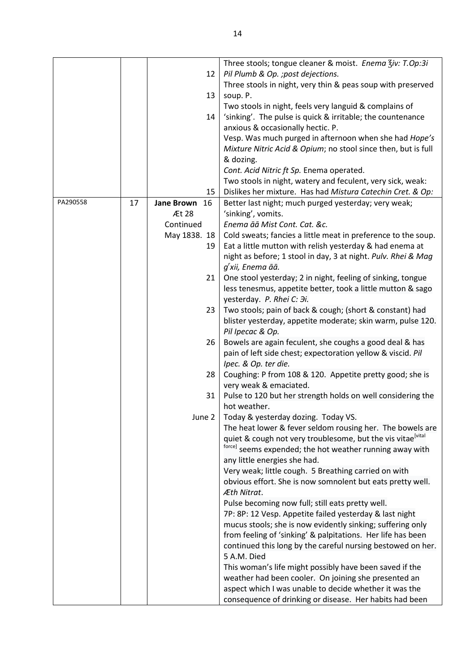|          |    |                         | Three stools; tongue cleaner & moist. Enema Ziv: T.Op:3i      |
|----------|----|-------------------------|---------------------------------------------------------------|
|          |    | 12                      | Pil Plumb & Op. ; post dejections.                            |
|          |    |                         | Three stools in night, very thin & peas soup with preserved   |
|          |    | 13                      | soup. P.                                                      |
|          |    |                         | Two stools in night, feels very languid & complains of        |
|          |    | 14                      | 'sinking'. The pulse is quick & irritable; the countenance    |
|          |    |                         | anxious & occasionally hectic. P.                             |
|          |    |                         | Vesp. Was much purged in afternoon when she had Hope's        |
|          |    |                         | Mixture Nitric Acid & Opium; no stool since then, but is full |
|          |    |                         | & dozing.                                                     |
|          |    |                         | Cont. Acid Nitric ft Sp. Enema operated.                      |
|          |    |                         | Two stools in night, watery and feculent, very sick, weak:    |
|          |    | 15                      | Dislikes her mixture. Has had Mistura Catechin Cret. & Op:    |
| PA290558 | 17 | 16<br><b>Jane Brown</b> | Better last night; much purged yesterday; very weak;          |
|          |    | Æt 28                   | 'sinking', vomits.                                            |
|          |    | Continued               | Enema āā Mist Cont. Cat. &c.                                  |
|          |    | May 1838. 18            | Cold sweats; fancies a little meat in preference to the soup. |
|          |    | 19                      | Eat a little mutton with relish yesterday & had enema at      |
|          |    |                         | night as before; 1 stool in day, 3 at night. Pulv. Rhei & Mag |
|          |    |                         | g'xii, Enema āā.                                              |
|          |    | 21                      | One stool yesterday; 2 in night, feeling of sinking, tongue   |
|          |    |                         | less tenesmus, appetite better, took a little mutton & sago   |
|          |    |                         | yesterday. P. Rhei C: Hi.                                     |
|          |    | 23                      | Two stools; pain of back & cough; (short & constant) had      |
|          |    |                         | blister yesterday, appetite moderate; skin warm, pulse 120.   |
|          |    |                         | Pil Ipecac & Op.                                              |
|          |    | 26                      | Bowels are again feculent, she coughs a good deal & has       |
|          |    |                         | pain of left side chest; expectoration yellow & viscid. Pil   |
|          |    |                         | Ipec. & Op. ter die.                                          |
|          |    | 28                      | Coughing: P from 108 & 120. Appetite pretty good; she is      |
|          |    |                         | very weak & emaciated.                                        |
|          |    | 31                      | Pulse to 120 but her strength holds on well considering the   |
|          |    |                         | hot weather.                                                  |
|          |    | June 2                  | Today & yesterday dozing. Today VS.                           |
|          |    |                         | The heat lower & fever seldom rousing her. The bowels are     |
|          |    |                         | quiet & cough not very troublesome, but the vis vitae[vital]  |
|          |    |                         | torce]<br>seems expended; the hot weather running away with   |
|          |    |                         | any little energies she had.                                  |
|          |    |                         | Very weak; little cough. 5 Breathing carried on with          |
|          |    |                         | obvious effort. She is now somnolent but eats pretty well.    |
|          |    |                         | Æth Nitrat.                                                   |
|          |    |                         | Pulse becoming now full; still eats pretty well.              |
|          |    |                         | 7P: 8P: 12 Vesp. Appetite failed yesterday & last night       |
|          |    |                         | mucus stools; she is now evidently sinking; suffering only    |
|          |    |                         | from feeling of 'sinking' & palpitations. Her life has been   |
|          |    |                         | continued this long by the careful nursing bestowed on her.   |
|          |    |                         | 5 A.M. Died                                                   |
|          |    |                         | This woman's life might possibly have been saved if the       |
|          |    |                         | weather had been cooler. On joining she presented an          |
|          |    |                         | aspect which I was unable to decide whether it was the        |
|          |    |                         | consequence of drinking or disease. Her habits had been       |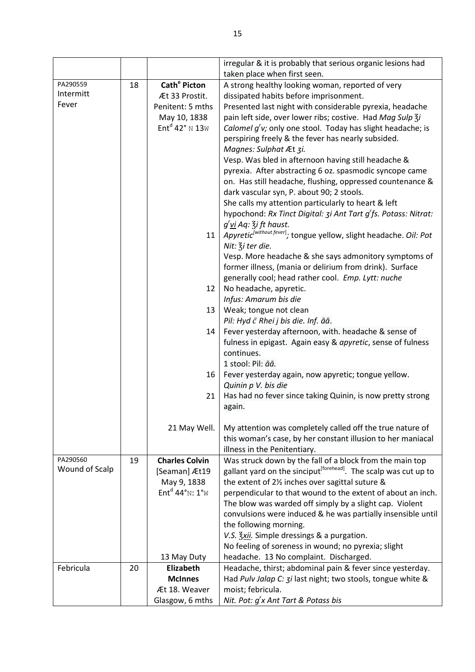|                |    |                                                       | irregular & it is probably that serious organic lesions had<br>taken place when first seen. |
|----------------|----|-------------------------------------------------------|---------------------------------------------------------------------------------------------|
| PA290559       |    |                                                       |                                                                                             |
| Intermitt      | 18 | Cath <sup>e</sup> Picton                              | A strong healthy looking woman, reported of very                                            |
| Fever          |    | Æt 33 Prostit.                                        | dissipated habits before imprisonment.                                                      |
|                |    | Penitent: 5 mths                                      | Presented last night with considerable pyrexia, headache                                    |
|                |    | May 10, 1838                                          | pain left side, over lower ribs; costive. Had Mag Sulp 3i                                   |
|                |    | Ent <sup>d</sup> 42° N 13W                            | Calomel g'v; only one stool. Today has slight headache; is                                  |
|                |    |                                                       | perspiring freely & the fever has nearly subsided.                                          |
|                |    |                                                       | Magnes: Sulphat Æt 3i.                                                                      |
|                |    |                                                       | Vesp. Was bled in afternoon having still headache &                                         |
|                |    |                                                       | pyrexia. After abstracting 6 oz. spasmodic syncope came                                     |
|                |    |                                                       | on. Has still headache, flushing, oppressed countenance &                                   |
|                |    |                                                       | dark vascular syn, P. about 90; 2 stools.                                                   |
|                |    |                                                       | She calls my attention particularly to heart & left                                         |
|                |    |                                                       | hypochond: Rx Tinct Digital: 3i Ant Tart g'fs. Potass: Nitrat:                              |
|                |    |                                                       | g <sup>r</sup> <u>vi</u> Aq: 3i ft haust.                                                   |
|                |    | 11                                                    | Apyretic <sup>[without fever]</sup> ; tongue yellow, slight headache. Oil: Pot              |
|                |    |                                                       |                                                                                             |
|                |    |                                                       | Nit: $\frac{2}{3}$ i ter die.                                                               |
|                |    |                                                       | Vesp. More headache & she says admonitory symptoms of                                       |
|                |    |                                                       | former illness, (mania or delirium from drink). Surface                                     |
|                |    |                                                       | generally cool; head rather cool. Emp. Lytt: nuche                                          |
|                |    | 12                                                    | No headache, apyretic.                                                                      |
|                |    |                                                       | Infus: Amarum bis die                                                                       |
|                |    | 13                                                    | Weak; tongue not clean                                                                      |
|                |    |                                                       | Pil: Hyd c Rhei j bis die. Inf. āā.                                                         |
|                |    | 14                                                    | Fever yesterday afternoon, with. headache & sense of                                        |
|                |    |                                                       | fulness in epigast. Again easy & apyretic, sense of fulness                                 |
|                |    |                                                       | continues.                                                                                  |
|                |    |                                                       | 1 stool: Pil: āā.                                                                           |
|                |    | 16                                                    | Fever yesterday again, now apyretic; tongue yellow.                                         |
|                |    |                                                       | Quinin p V. bis die                                                                         |
|                |    | 21                                                    | Has had no fever since taking Quinin, is now pretty strong                                  |
|                |    |                                                       | again.                                                                                      |
|                |    |                                                       |                                                                                             |
|                |    | 21 May Well.                                          | My attention was completely called off the true nature of                                   |
|                |    |                                                       | this woman's case, by her constant illusion to her maniacal                                 |
|                |    |                                                       | illness in the Penitentiary.                                                                |
| PA290560       | 19 | <b>Charles Colvin</b>                                 | Was struck down by the fall of a block from the main top                                    |
| Wound of Scalp |    | [Seaman] Æt19                                         | gallant yard on the sinciput <sup>[forehead]</sup> . The scalp was cut up to                |
|                |    | May 9, 1838                                           | the extent of 2% inches over sagittal suture &                                              |
|                |    | Ent <sup>d</sup> 44° <sub>N</sub> : $1°$ <sub>W</sub> | perpendicular to that wound to the extent of about an inch.                                 |
|                |    |                                                       | The blow was warded off simply by a slight cap. Violent                                     |
|                |    |                                                       | convulsions were induced & he was partially insensible until                                |
|                |    |                                                       | the following morning.                                                                      |
|                |    |                                                       | V.S. Zxii. Simple dressings & a purgation.                                                  |
|                |    |                                                       | No feeling of soreness in wound; no pyrexia; slight                                         |
|                |    | 13 May Duty                                           | headache. 13 No complaint. Discharged.                                                      |
| Febricula      | 20 | Elizabeth                                             | Headache, thirst; abdominal pain & fever since yesterday.                                   |
|                |    | <b>McInnes</b>                                        | Had Pulv Jalap C: 3i last night; two stools, tongue white &                                 |
|                |    | Æt 18. Weaver                                         | moist; febricula.                                                                           |
|                |    | Glasgow, 6 mths                                       | Nit. Pot: g'x Ant Tart & Potass bis                                                         |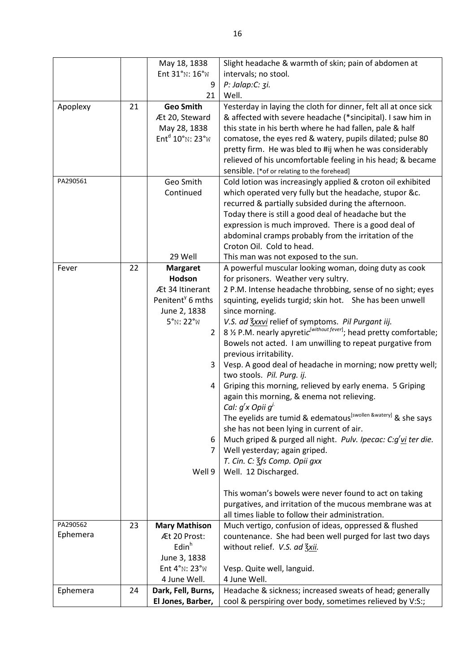|          |    | May 18, 1838                 | Slight headache & warmth of skin; pain of abdomen at                          |
|----------|----|------------------------------|-------------------------------------------------------------------------------|
|          |    | Ent 31°N: 16°W               | intervals; no stool.                                                          |
|          |    | 9                            | P: Jalap:C: 3i.                                                               |
|          |    | 21                           | Well.                                                                         |
| Apoplexy | 21 | <b>Geo Smith</b>             | Yesterday in laying the cloth for dinner, felt all at once sick               |
|          |    | Æt 20, Steward               | & affected with severe headache (*sincipital). I saw him in                   |
|          |    | May 28, 1838                 | this state in his berth where he had fallen, pale & half                      |
|          |    | $Entd 10°N: 23°W$            | comatose, the eyes red & watery, pupils dilated; pulse 80                     |
|          |    |                              | pretty firm. He was bled to #ij when he was considerably                      |
|          |    |                              | relieved of his uncomfortable feeling in his head; & became                   |
|          |    |                              | sensible. [*of or relating to the forehead]                                   |
| PA290561 |    | Geo Smith                    | Cold lotion was increasingly applied & croton oil exhibited                   |
|          |    | Continued                    | which operated very fully but the headache, stupor &c.                        |
|          |    |                              | recurred & partially subsided during the afternoon.                           |
|          |    |                              | Today there is still a good deal of headache but the                          |
|          |    |                              | expression is much improved. There is a good deal of                          |
|          |    |                              | abdominal cramps probably from the irritation of the                          |
|          |    |                              | Croton Oil. Cold to head.                                                     |
|          |    | 29 Well                      | This man was not exposed to the sun.                                          |
| Fever    | 22 | <b>Margaret</b>              | A powerful muscular looking woman, doing duty as cook                         |
|          |    | Hodson                       | for prisoners. Weather very sultry.                                           |
|          |    | Æt 34 Itinerant              | 2 P.M. Intense headache throbbing, sense of no sight; eyes                    |
|          |    | Penitent <sup>y</sup> 6 mths | squinting, eyelids turgid; skin hot. She has been unwell                      |
|          |    | June 2, 1838                 | since morning.                                                                |
|          |    | $5°N$ : 22°W                 | V.S. ad 3xxvi relief of symptoms. Pil Purgant iij.                            |
|          |    | $\overline{2}$               | 8 % P.M. nearly apyretic without fever]; head pretty comfortable;             |
|          |    |                              | Bowels not acted. I am unwilling to repeat purgative from                     |
|          |    |                              | previous irritability.                                                        |
|          |    | 3                            | Vesp. A good deal of headache in morning; now pretty well;                    |
|          |    |                              | two stools. Pil. Purg. ij.                                                    |
|          |    | 4                            | Griping this morning, relieved by early enema. 5 Griping                      |
|          |    |                              | again this morning, & enema not relieving.                                    |
|          |    |                              | Cal: $g'$ x Opii $g'$                                                         |
|          |    |                              | The eyelids are tumid & edematous <sup>[swollen &amp;watery]</sup> & she says |
|          |    |                              | she has not been lying in current of air.                                     |
|          |    | 6                            | Much griped & purged all night. Pulv. Ipecac: C:g'vi ter die.                 |
|          |    | 7                            | Well yesterday; again griped.                                                 |
|          |    |                              | T. Cin. C: 3fs Comp. Opii gxx                                                 |
|          |    | Well 9                       | Well. 12 Discharged.                                                          |
|          |    |                              |                                                                               |
|          |    |                              | This woman's bowels were never found to act on taking                         |
|          |    |                              | purgatives, and irritation of the mucous membrane was at                      |
|          |    |                              | all times liable to follow their administration.                              |
| PA290562 | 23 | <b>Mary Mathison</b>         | Much vertigo, confusion of ideas, oppressed & flushed                         |
| Ephemera |    | Æt 20 Prost:                 | countenance. She had been well purged for last two days                       |
|          |    | Edin <sup>h</sup>            | without relief. V.S. ad 3xii.                                                 |
|          |    | June 3, 1838                 |                                                                               |
|          |    | Ent 4°N: 23°W                | Vesp. Quite well, languid.                                                    |
|          |    | 4 June Well.                 | 4 June Well.                                                                  |
| Ephemera | 24 | Dark, Fell, Burns,           | Headache & sickness; increased sweats of head; generally                      |
|          |    | El Jones, Barber,            | cool & perspiring over body, sometimes relieved by V:S:;                      |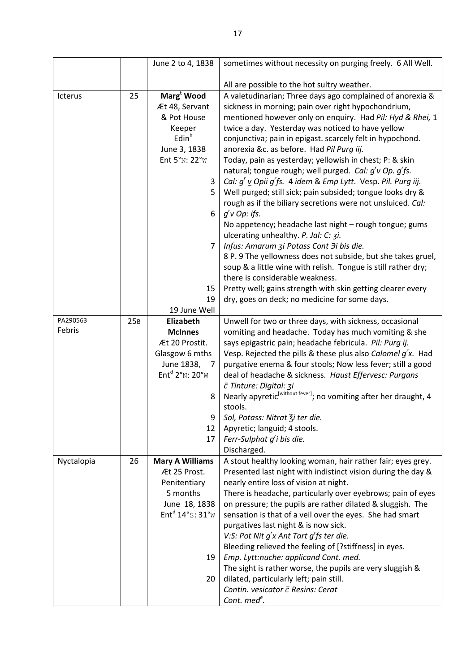|            |     | June 2 to 4, 1838                                                     | sometimes without necessity on purging freely. 6 All Well.                                     |
|------------|-----|-----------------------------------------------------------------------|------------------------------------------------------------------------------------------------|
|            |     |                                                                       |                                                                                                |
|            |     |                                                                       | All are possible to the hot sultry weather.                                                    |
| Icterus    | 25  | Marg <sup>t</sup> Wood                                                | A valetudinarian; Three days ago complained of anorexia &                                      |
|            |     | Æt 48, Servant                                                        | sickness in morning; pain over right hypochondrium,                                            |
|            |     | & Pot House                                                           | mentioned however only on enquiry. Had Pil: Hyd & Rhei, 1                                      |
|            |     | Keeper                                                                | twice a day. Yesterday was noticed to have yellow                                              |
|            |     | Edin <sup>h</sup>                                                     | conjunctiva; pain in epigast. scarcely felt in hypochond.                                      |
|            |     | June 3, 1838                                                          | anorexia &c. as before. Had Pil Purg iij.                                                      |
|            |     | Ent 5°N: 22°W                                                         | Today, pain as yesterday; yellowish in chest; P: & skin                                        |
|            |     |                                                                       | natural; tongue rough; well purged. Cal: g'v Op. g'fs.                                         |
|            |     | 3                                                                     | Cal: g' v Opii g'fs. 4 idem & Emp Lytt. Vesp. Pil. Purg iij.                                   |
|            |     | 5                                                                     | Well purged; still sick; pain subsided; tongue looks dry &                                     |
|            |     |                                                                       | rough as if the biliary secretions were not unsluiced. Cal:                                    |
|            |     | 6                                                                     | $g'$ v Op: ifs.                                                                                |
|            |     |                                                                       | No appetency; headache last night - rough tongue; gums                                         |
|            |     |                                                                       | ulcerating unhealthy. P. Jal: C: 3i.                                                           |
|            |     | $\overline{7}$                                                        | Infus: Amarum zi Potass Cont Ji bis die.                                                       |
|            |     |                                                                       | 8 P. 9 The yellowness does not subside, but she takes gruel,                                   |
|            |     |                                                                       | soup & a little wine with relish. Tongue is still rather dry;                                  |
|            |     |                                                                       | there is considerable weakness.<br>Pretty well; gains strength with skin getting clearer every |
|            |     | 15<br>19                                                              | dry, goes on deck; no medicine for some days.                                                  |
|            |     | 19 June Well                                                          |                                                                                                |
| PA290563   | 25B | Elizabeth                                                             | Unwell for two or three days, with sickness, occasional                                        |
| Febris     |     | <b>McInnes</b>                                                        | vomiting and headache. Today has much vomiting & she                                           |
|            |     | Æt 20 Prostit.                                                        | says epigastric pain; headache febricula. Pil: Purg ij.                                        |
|            |     | Glasgow 6 mths                                                        | Vesp. Rejected the pills & these plus also Calomel $g'x$ . Had                                 |
|            |     | June 1838, 7                                                          | purgative enema & four stools; Now less fever; still a good                                    |
|            |     | Ent <sup>d</sup> $2^{\circ}$ <sub>N</sub> : $20^{\circ}$ <sub>W</sub> | deal of headache & sickness. Haust Effervesc: Purgans                                          |
|            |     |                                                                       | c Tinture: Digital: 3i                                                                         |
|            |     | 8                                                                     | Nearly apyretic <sup>[without fever]</sup> ; no vomiting after her draught, 4                  |
|            |     |                                                                       | stools.                                                                                        |
|            |     | 9                                                                     | Sol, Potass: Nitrat Zi ter die.                                                                |
|            |     | 12                                                                    | Apyretic; languid; 4 stools.                                                                   |
|            |     | 17                                                                    | Ferr-Sulphat g'i bis die.                                                                      |
|            |     |                                                                       | Discharged.                                                                                    |
| Nyctalopia | 26  | <b>Mary A Williams</b>                                                | A stout healthy looking woman, hair rather fair; eyes grey.                                    |
|            |     | Æt 25 Prost.                                                          | Presented last night with indistinct vision during the day &                                   |
|            |     | Penitentiary                                                          | nearly entire loss of vision at night.                                                         |
|            |     | 5 months                                                              | There is headache, particularly over eyebrows; pain of eyes                                    |
|            |     | June 18, 1838                                                         | on pressure; the pupils are rather dilated & sluggish. The                                     |
|            |     | Ent <sup>d</sup> 14°s: 31°w                                           | sensation is that of a veil over the eyes. She had smart                                       |
|            |     |                                                                       | purgatives last night & is now sick.                                                           |
|            |     |                                                                       | V:S: Pot Nit $g'$ x Ant Tart $g'$ fs ter die.                                                  |
|            |     |                                                                       | Bleeding relieved the feeling of [?stiffness] in eyes.                                         |
|            |     | 19                                                                    | Emp. Lytt:nuche: applicand Cont. med.                                                          |
|            |     |                                                                       | The sight is rather worse, the pupils are very sluggish &                                      |
|            |     | 20                                                                    | dilated, particularly left; pain still.                                                        |
|            |     |                                                                       | Contin. vesicator $\bar{c}$ Resins: Cerat                                                      |
|            |     |                                                                       | Cont. med <sup>e</sup> .                                                                       |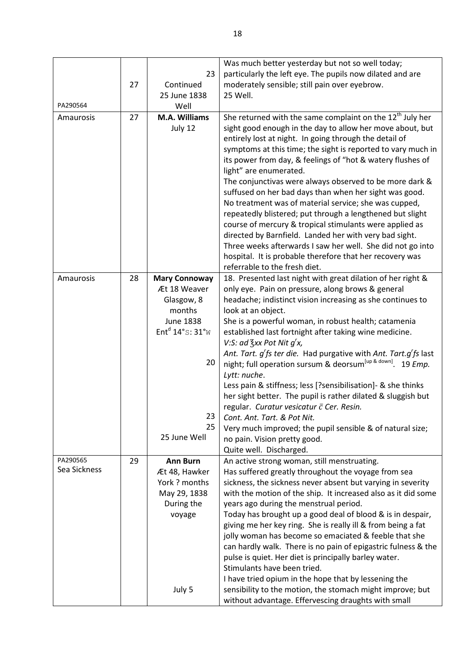|                          |    |                               | Was much better yesterday but not so well today;                                                                             |
|--------------------------|----|-------------------------------|------------------------------------------------------------------------------------------------------------------------------|
|                          |    | 23                            | particularly the left eye. The pupils now dilated and are                                                                    |
|                          | 27 | Continued<br>25 June 1838     | moderately sensible; still pain over eyebrow.                                                                                |
| PA290564                 |    | Well                          | 25 Well.                                                                                                                     |
| Amaurosis                | 27 | M.A. Williams                 | She returned with the same complaint on the 12 <sup>th</sup> July her                                                        |
|                          |    | July 12                       | sight good enough in the day to allow her move about, but                                                                    |
|                          |    |                               | entirely lost at night. In going through the detail of                                                                       |
|                          |    |                               | symptoms at this time; the sight is reported to vary much in                                                                 |
|                          |    |                               | its power from day, & feelings of "hot & watery flushes of                                                                   |
|                          |    |                               | light" are enumerated.                                                                                                       |
|                          |    |                               | The conjunctivas were always observed to be more dark &                                                                      |
|                          |    |                               | suffused on her bad days than when her sight was good.                                                                       |
|                          |    |                               | No treatment was of material service; she was cupped,                                                                        |
|                          |    |                               | repeatedly blistered; put through a lengthened but slight                                                                    |
|                          |    |                               | course of mercury & tropical stimulants were applied as                                                                      |
|                          |    |                               | directed by Barnfield. Landed her with very bad sight.<br>Three weeks afterwards I saw her well. She did not go into         |
|                          |    |                               | hospital. It is probable therefore that her recovery was                                                                     |
|                          |    |                               | referrable to the fresh diet.                                                                                                |
| Amaurosis                | 28 | <b>Mary Connoway</b>          | 18. Presented last night with great dilation of her right &                                                                  |
|                          |    | Æt 18 Weaver                  | only eye. Pain on pressure, along brows & general                                                                            |
|                          |    | Glasgow, 8                    | headache; indistinct vision increasing as she continues to                                                                   |
|                          |    | months                        | look at an object.                                                                                                           |
|                          |    | <b>June 1838</b>              | She is a powerful woman, in robust health; catamenia                                                                         |
|                          |    | Ent <sup>d</sup> 14°s: 31°w   | established last fortnight after taking wine medicine.                                                                       |
|                          |    |                               | V:S: ad $\frac{7}{3}$ xx Pot Nit $g'x$ ,                                                                                     |
|                          |    | 20                            | Ant. Tart. g'fs ter die. Had purgative with Ant. Tart.g'fs last                                                              |
|                          |    |                               | night; full operation sursum & deorsum <sup>[up &amp; down]</sup> . 19 Emp.<br>Lytt: nuche.                                  |
|                          |    |                               | Less pain & stiffness; less [?sensibilisation]- & she thinks                                                                 |
|                          |    |                               | her sight better. The pupil is rather dilated & sluggish but                                                                 |
|                          |    |                               | regular. Curatur vesicatur c Cer. Resin.                                                                                     |
|                          |    | 23                            | Cont. Ant. Tart. & Pot Nit.                                                                                                  |
|                          |    | 25                            | Very much improved; the pupil sensible & of natural size;                                                                    |
|                          |    | 25 June Well                  | no pain. Vision pretty good.                                                                                                 |
|                          |    |                               | Quite well. Discharged.                                                                                                      |
| PA290565<br>Sea Sickness | 29 | <b>Ann Burn</b>               | An active strong woman, still menstruating.                                                                                  |
|                          |    | Æt 48, Hawker                 | Has suffered greatly throughout the voyage from sea                                                                          |
|                          |    | York ? months<br>May 29, 1838 | sickness, the sickness never absent but varying in severity<br>with the motion of the ship. It increased also as it did some |
|                          |    | During the                    | years ago during the menstrual period.                                                                                       |
|                          |    | voyage                        | Today has brought up a good deal of blood & is in despair,                                                                   |
|                          |    |                               | giving me her key ring. She is really ill & from being a fat                                                                 |
|                          |    |                               | jolly woman has become so emaciated & feeble that she                                                                        |
|                          |    |                               | can hardly walk. There is no pain of epigastric fulness & the                                                                |
|                          |    |                               | pulse is quiet. Her diet is principally barley water.                                                                        |
|                          |    |                               | Stimulants have been tried.                                                                                                  |
|                          |    |                               | I have tried opium in the hope that by lessening the                                                                         |
|                          |    | July 5                        | sensibility to the motion, the stomach might improve; but<br>without advantage. Effervescing draughts with small             |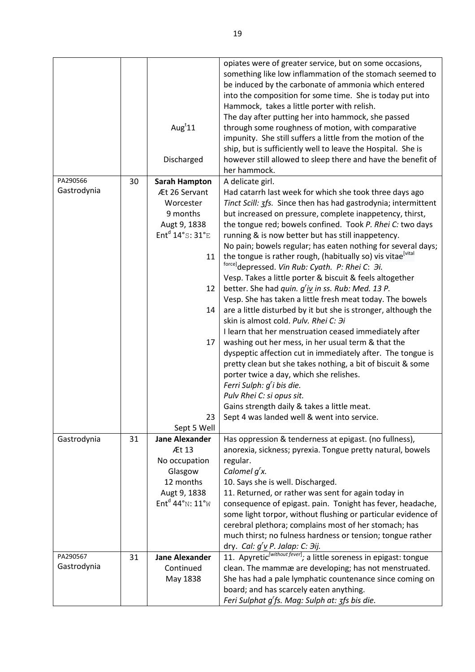|                         |    | Aug $t$ 11                                             | opiates were of greater service, but on some occasions,<br>something like low inflammation of the stomach seemed to<br>be induced by the carbonate of ammonia which entered<br>into the composition for some time. She is today put into<br>Hammock, takes a little porter with relish.<br>The day after putting her into hammock, she passed<br>through some roughness of motion, with comparative<br>impunity. She still suffers a little from the motion of the |
|-------------------------|----|--------------------------------------------------------|--------------------------------------------------------------------------------------------------------------------------------------------------------------------------------------------------------------------------------------------------------------------------------------------------------------------------------------------------------------------------------------------------------------------------------------------------------------------|
|                         |    | Discharged                                             | ship, but is sufficiently well to leave the Hospital. She is<br>however still allowed to sleep there and have the benefit of<br>her hammock.                                                                                                                                                                                                                                                                                                                       |
| PA290566                | 30 | <b>Sarah Hampton</b>                                   | A delicate girl.                                                                                                                                                                                                                                                                                                                                                                                                                                                   |
| Gastrodynia             |    | Æt 26 Servant                                          | Had catarrh last week for which she took three days ago                                                                                                                                                                                                                                                                                                                                                                                                            |
|                         |    | Worcester                                              | Tinct Scill: 3fs. Since then has had gastrodynia; intermittent                                                                                                                                                                                                                                                                                                                                                                                                     |
|                         |    | 9 months                                               |                                                                                                                                                                                                                                                                                                                                                                                                                                                                    |
|                         |    |                                                        | but increased on pressure, complete inappetency, thirst,                                                                                                                                                                                                                                                                                                                                                                                                           |
|                         |    | Augt 9, 1838                                           | the tongue red; bowels confined. Took P. Rhei C: two days                                                                                                                                                                                                                                                                                                                                                                                                          |
|                         |    | Ent <sup>d</sup> 14°s: 31°E                            | running & is now better but has still inappetency.                                                                                                                                                                                                                                                                                                                                                                                                                 |
|                         |    |                                                        | No pain; bowels regular; has eaten nothing for several days;                                                                                                                                                                                                                                                                                                                                                                                                       |
|                         |    | 11                                                     | the tongue is rather rough, (habitually so) vis vitae[vital]<br>force]depressed. Vin Rub: Cyath. P: Rhei C: Эi.                                                                                                                                                                                                                                                                                                                                                    |
|                         |    |                                                        | Vesp. Takes a little porter & biscuit & feels altogether                                                                                                                                                                                                                                                                                                                                                                                                           |
|                         |    | 12                                                     | better. She had quin. g'iv in ss. Rub: Med. 13 P.                                                                                                                                                                                                                                                                                                                                                                                                                  |
|                         |    |                                                        | Vesp. She has taken a little fresh meat today. The bowels                                                                                                                                                                                                                                                                                                                                                                                                          |
|                         |    | 14                                                     | are a little disturbed by it but she is stronger, although the                                                                                                                                                                                                                                                                                                                                                                                                     |
|                         |    |                                                        | skin is almost cold. Pulv. Rhei C: Hi                                                                                                                                                                                                                                                                                                                                                                                                                              |
|                         |    |                                                        | I learn that her menstruation ceased immediately after                                                                                                                                                                                                                                                                                                                                                                                                             |
|                         |    | 17                                                     | washing out her mess, in her usual term & that the                                                                                                                                                                                                                                                                                                                                                                                                                 |
|                         |    |                                                        | dyspeptic affection cut in immediately after. The tongue is                                                                                                                                                                                                                                                                                                                                                                                                        |
|                         |    |                                                        | pretty clean but she takes nothing, a bit of biscuit & some                                                                                                                                                                                                                                                                                                                                                                                                        |
|                         |    |                                                        | porter twice a day, which she relishes.                                                                                                                                                                                                                                                                                                                                                                                                                            |
|                         |    |                                                        | Ferri Sulph: g'i bis die.                                                                                                                                                                                                                                                                                                                                                                                                                                          |
|                         |    |                                                        | Pulv Rhei C: si opus sit.                                                                                                                                                                                                                                                                                                                                                                                                                                          |
|                         |    |                                                        | Gains strength daily & takes a little meat.                                                                                                                                                                                                                                                                                                                                                                                                                        |
|                         |    |                                                        |                                                                                                                                                                                                                                                                                                                                                                                                                                                                    |
|                         |    | 23                                                     | Sept 4 was landed well & went into service.                                                                                                                                                                                                                                                                                                                                                                                                                        |
|                         | 31 | Sept 5 Well<br><b>Jane Alexander</b>                   | Has oppression & tenderness at epigast. (no fullness),                                                                                                                                                                                                                                                                                                                                                                                                             |
| Gastrodynia             |    | Æt 13                                                  | anorexia, sickness; pyrexia. Tongue pretty natural, bowels                                                                                                                                                                                                                                                                                                                                                                                                         |
|                         |    | No occupation                                          | regular.                                                                                                                                                                                                                                                                                                                                                                                                                                                           |
|                         |    |                                                        | Calomel $q'$ x.                                                                                                                                                                                                                                                                                                                                                                                                                                                    |
|                         |    | Glasgow                                                |                                                                                                                                                                                                                                                                                                                                                                                                                                                                    |
|                         |    | 12 months                                              | 10. Says she is well. Discharged.                                                                                                                                                                                                                                                                                                                                                                                                                                  |
|                         |    | Augt 9, 1838                                           | 11. Returned, or rather was sent for again today in                                                                                                                                                                                                                                                                                                                                                                                                                |
|                         |    | Ent <sup>d</sup> 44° <sub>N</sub> : $11°$ <sub>W</sub> | consequence of epigast. pain. Tonight has fever, headache,                                                                                                                                                                                                                                                                                                                                                                                                         |
|                         |    |                                                        | some light torpor, without flushing or particular evidence of                                                                                                                                                                                                                                                                                                                                                                                                      |
|                         |    |                                                        | cerebral plethora; complains most of her stomach; has                                                                                                                                                                                                                                                                                                                                                                                                              |
|                         |    |                                                        | much thirst; no fulness hardness or tension; tongue rather                                                                                                                                                                                                                                                                                                                                                                                                         |
|                         |    |                                                        | dry. Cal: $g'v$ P. Jalap: C: $\partial ij$ .                                                                                                                                                                                                                                                                                                                                                                                                                       |
| PA290567<br>Gastrodynia | 31 | <b>Jane Alexander</b>                                  | 11. Apyretic <sup>(without fever</sup> ); a little soreness in epigast: tongue                                                                                                                                                                                                                                                                                                                                                                                     |
|                         |    | Continued                                              | clean. The mammæ are developing; has not menstruated.                                                                                                                                                                                                                                                                                                                                                                                                              |
|                         |    | May 1838                                               | She has had a pale lymphatic countenance since coming on                                                                                                                                                                                                                                                                                                                                                                                                           |
|                         |    |                                                        | board; and has scarcely eaten anything.                                                                                                                                                                                                                                                                                                                                                                                                                            |
|                         |    |                                                        | Feri Sulphat g'fs. Mag: Sulph at: 3fs bis die.                                                                                                                                                                                                                                                                                                                                                                                                                     |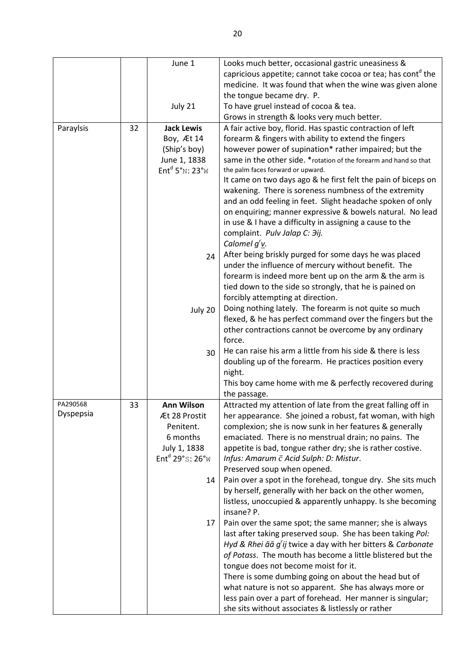|           |    | June 1                      | Looks much better, occasional gastric uneasiness &                        |
|-----------|----|-----------------------------|---------------------------------------------------------------------------|
|           |    |                             | capricious appetite; cannot take cocoa or tea; has cont <sup>o</sup> the  |
|           |    |                             | medicine. It was found that when the wine was given alone                 |
|           |    |                             | the tongue became dry. P.                                                 |
|           |    | July 21                     | To have gruel instead of cocoa & tea.                                     |
|           |    |                             | Grows in strength & looks very much better.                               |
| Paraylsis | 32 | <b>Jack Lewis</b>           | A fair active boy, florid. Has spastic contraction of left                |
|           |    | Boy, Æt 14                  | forearm & fingers with ability to extend the fingers                      |
|           |    | (Ship's boy)                | however power of supination* rather impaired; but the                     |
|           |    | June 1, 1838                | same in the other side. * rotation of the forearm and hand so that        |
|           |    | $Entd 5°N$ : 23°W           | the palm faces forward or upward.                                         |
|           |    |                             | It came on two days ago & he first felt the pain of biceps on             |
|           |    |                             | wakening. There is soreness numbness of the extremity                     |
|           |    |                             | and an odd feeling in feet. Slight headache spoken of only                |
|           |    |                             | on enquiring; manner expressive & bowels natural. No lead                 |
|           |    |                             | in use & I have a difficulty in assigning a cause to the                  |
|           |    |                             | complaint. Pulv Jalap C: Hij.                                             |
|           |    |                             | Calomel $g'$ <sub>V</sub> .                                               |
|           |    |                             | After being briskly purged for some days he was placed                    |
|           |    | 24                          |                                                                           |
|           |    |                             | under the influence of mercury without benefit. The                       |
|           |    |                             | forearm is indeed more bent up on the arm & the arm is                    |
|           |    |                             | tied down to the side so strongly, that he is pained on                   |
|           |    |                             | forcibly attempting at direction.                                         |
|           |    | July 20                     | Doing nothing lately. The forearm is not quite so much                    |
|           |    |                             | flexed, & he has perfect command over the fingers but the                 |
|           |    |                             | other contractions cannot be overcome by any ordinary                     |
|           |    |                             | force.                                                                    |
|           |    | 30                          | He can raise his arm a little from his side & there is less               |
|           |    |                             | doubling up of the forearm. He practices position every                   |
|           |    |                             | night.                                                                    |
|           |    |                             | This boy came home with me & perfectly recovered during                   |
|           |    |                             | the passage.                                                              |
| PA290568  | 33 | <b>Ann Wilson</b>           | Attracted my attention of late from the great falling off in              |
| Dyspepsia |    | Æt 28 Prostit               | her appearance. She joined a robust, fat woman, with high                 |
|           |    | Penitent.                   | complexion; she is now sunk in her features & generally                   |
|           |    | 6 months                    | emaciated. There is no menstrual drain; no pains. The                     |
|           |    | July 1, 1838                | appetite is bad, tongue rather dry; she is rather costive.                |
|           |    | Ent <sup>d</sup> 29°s: 26°w | Infus: Amarum $\bar{c}$ Acid Sulph: D: Mistur.                            |
|           |    |                             | Preserved soup when opened.                                               |
|           |    | 14                          | Pain over a spot in the forehead, tongue dry. She sits much               |
|           |    |                             | by herself, generally with her back on the other women,                   |
|           |    |                             | listless, unoccupied & apparently unhappy. Is she becoming                |
|           |    |                             | insane? P.                                                                |
|           |    | 17                          | Pain over the same spot; the same manner; she is always                   |
|           |    |                             | last after taking preserved soup. She has been taking Pol:                |
|           |    |                             | Hyd & Rhei $\bar{a}\bar{a}$ g'ij twice a day with her bitters & Carbonate |
|           |    |                             | of Potass. The mouth has become a little blistered but the                |
|           |    |                             | tongue does not become moist for it.                                      |
|           |    |                             |                                                                           |
|           |    |                             | There is some dumbing going on about the head but of                      |
|           |    |                             | what nature is not so apparent. She has always more or                    |
|           |    |                             | less pain over a part of forehead. Her manner is singular;                |
|           |    |                             | she sits without associates & listlessly or rather                        |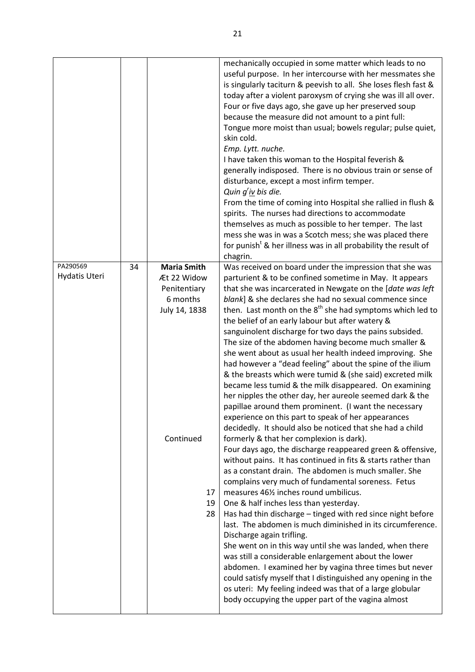|                           |    |                                                                                                   | mechanically occupied in some matter which leads to no<br>useful purpose. In her intercourse with her messmates she<br>is singularly taciturn & peevish to all. She loses flesh fast &<br>today after a violent paroxysm of crying she was ill all over.<br>Four or five days ago, she gave up her preserved soup<br>because the measure did not amount to a pint full:<br>Tongue more moist than usual; bowels regular; pulse quiet,<br>skin cold.<br>Emp. Lytt. nuche.<br>I have taken this woman to the Hospital feverish &<br>generally indisposed. There is no obvious train or sense of<br>disturbance, except a most infirm temper.<br>Quin $g'$ iv bis die.<br>From the time of coming into Hospital she rallied in flush &<br>spirits. The nurses had directions to accommodate<br>themselves as much as possible to her temper. The last<br>mess she was in was a Scotch mess; she was placed there<br>for punish <sup>t</sup> & her illness was in all probability the result of                                                                                                                                                                                                                                                                                                                          |
|---------------------------|----|---------------------------------------------------------------------------------------------------|----------------------------------------------------------------------------------------------------------------------------------------------------------------------------------------------------------------------------------------------------------------------------------------------------------------------------------------------------------------------------------------------------------------------------------------------------------------------------------------------------------------------------------------------------------------------------------------------------------------------------------------------------------------------------------------------------------------------------------------------------------------------------------------------------------------------------------------------------------------------------------------------------------------------------------------------------------------------------------------------------------------------------------------------------------------------------------------------------------------------------------------------------------------------------------------------------------------------------------------------------------------------------------------------------------------------|
|                           |    |                                                                                                   | chagrin.                                                                                                                                                                                                                                                                                                                                                                                                                                                                                                                                                                                                                                                                                                                                                                                                                                                                                                                                                                                                                                                                                                                                                                                                                                                                                                             |
| PA290569<br>Hydatis Uteri | 34 | <b>Maria Smith</b><br>Æt 22 Widow<br>Penitentiary<br>6 months<br>July 14, 1838<br>Continued<br>17 | Was received on board under the impression that she was<br>parturient & to be confined sometime in May. It appears<br>that she was incarcerated in Newgate on the [date was left<br>blank] & she declares she had no sexual commence since<br>then. Last month on the 8 <sup>th</sup> she had symptoms which led to<br>the belief of an early labour but after watery &<br>sanguinolent discharge for two days the pains subsided.<br>The size of the abdomen having become much smaller &<br>she went about as usual her health indeed improving. She<br>had however a "dead feeling" about the spine of the ilium<br>& the breasts which were tumid & (she said) excreted milk<br>became less tumid & the milk disappeared. On examining<br>her nipples the other day, her aureole seemed dark & the<br>papillae around them prominent. (I want the necessary<br>experience on this part to speak of her appearances<br>decidedly. It should also be noticed that she had a child<br>formerly & that her complexion is dark).<br>Four days ago, the discharge reappeared green & offensive,<br>without pains. It has continued in fits & starts rather than<br>as a constant drain. The abdomen is much smaller. She<br>complains very much of fundamental soreness. Fetus<br>measures 46% inches round umbilicus. |
|                           |    | 19<br>28                                                                                          | One & half inches less than yesterday.<br>Has had thin discharge - tinged with red since night before<br>last. The abdomen is much diminished in its circumference.<br>Discharge again trifling.<br>She went on in this way until she was landed, when there<br>was still a considerable enlargement about the lower<br>abdomen. I examined her by vagina three times but never<br>could satisfy myself that I distinguished any opening in the<br>os uteri: My feeling indeed was that of a large globular<br>body occupying the upper part of the vagina almost                                                                                                                                                                                                                                                                                                                                                                                                                                                                                                                                                                                                                                                                                                                                                    |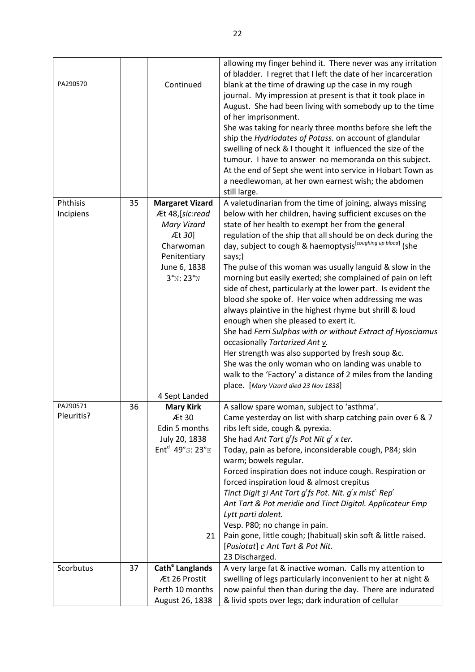| PA290570   |    | Continued                      | allowing my finger behind it. There never was any irritation<br>of bladder. I regret that I left the date of her incarceration<br>blank at the time of drawing up the case in my rough<br>journal. My impression at present is that it took place in<br>August. She had been living with somebody up to the time<br>of her imprisonment.<br>She was taking for nearly three months before she left the<br>ship the Hydriodates of Potass. on account of glandular<br>swelling of neck & I thought it influenced the size of the<br>tumour. I have to answer no memoranda on this subject.<br>At the end of Sept she went into service in Hobart Town as<br>a needlewoman, at her own earnest wish; the abdomen<br>still large. |
|------------|----|--------------------------------|--------------------------------------------------------------------------------------------------------------------------------------------------------------------------------------------------------------------------------------------------------------------------------------------------------------------------------------------------------------------------------------------------------------------------------------------------------------------------------------------------------------------------------------------------------------------------------------------------------------------------------------------------------------------------------------------------------------------------------|
| Phthisis   | 35 | <b>Margaret Vizard</b>         | A valetudinarian from the time of joining, always missing                                                                                                                                                                                                                                                                                                                                                                                                                                                                                                                                                                                                                                                                      |
| Incipiens  |    | Æt 48, [sic:read               | below with her children, having sufficient excuses on the                                                                                                                                                                                                                                                                                                                                                                                                                                                                                                                                                                                                                                                                      |
|            |    | Mary Vizard<br>Æt 30]          | state of her health to exempt her from the general                                                                                                                                                                                                                                                                                                                                                                                                                                                                                                                                                                                                                                                                             |
|            |    | Charwoman<br>Penitentiary      | regulation of the ship that all should be on deck during the<br>day, subject to cough & haemoptysis [coughing up blood] (she<br>says;)                                                                                                                                                                                                                                                                                                                                                                                                                                                                                                                                                                                         |
|            |    | June 6, 1838<br>$3°N$ : $23°W$ | The pulse of this woman was usually languid & slow in the<br>morning but easily exerted; she complained of pain on left<br>side of chest, particularly at the lower part. Is evident the<br>blood she spoke of. Her voice when addressing me was<br>always plaintive in the highest rhyme but shrill & loud<br>enough when she pleased to exert it.<br>She had Ferri Sulphas with or without Extract of Hyosciamus                                                                                                                                                                                                                                                                                                             |
|            |    |                                | occasionally Tartarized Ant v.                                                                                                                                                                                                                                                                                                                                                                                                                                                                                                                                                                                                                                                                                                 |
|            |    |                                | Her strength was also supported by fresh soup &c.                                                                                                                                                                                                                                                                                                                                                                                                                                                                                                                                                                                                                                                                              |
|            |    |                                | She was the only woman who on landing was unable to                                                                                                                                                                                                                                                                                                                                                                                                                                                                                                                                                                                                                                                                            |
|            |    |                                | walk to the 'Factory' a distance of 2 miles from the landing                                                                                                                                                                                                                                                                                                                                                                                                                                                                                                                                                                                                                                                                   |
|            |    | 4 Sept Landed                  | place. [Mary Vizard died 23 Nov 1838]                                                                                                                                                                                                                                                                                                                                                                                                                                                                                                                                                                                                                                                                                          |
| PA290571   | 36 | <b>Mary Kirk</b>               | A sallow spare woman, subject to 'asthma'.                                                                                                                                                                                                                                                                                                                                                                                                                                                                                                                                                                                                                                                                                     |
| Pleuritis? |    | Æt 30                          | Came yesterday on list with sharp catching pain over 6 & 7                                                                                                                                                                                                                                                                                                                                                                                                                                                                                                                                                                                                                                                                     |
|            |    | Edin 5 months                  | ribs left side, cough & pyrexia.                                                                                                                                                                                                                                                                                                                                                                                                                                                                                                                                                                                                                                                                                               |
|            |    | July 20, 1838                  | She had Ant Tart $q'$ fs Pot Nit $q'$ x ter.                                                                                                                                                                                                                                                                                                                                                                                                                                                                                                                                                                                                                                                                                   |
|            |    | Ent <sup>d</sup> 49°s: 23°E    | Today, pain as before, inconsiderable cough, P84; skin<br>warm; bowels regular.                                                                                                                                                                                                                                                                                                                                                                                                                                                                                                                                                                                                                                                |
|            |    |                                | Forced inspiration does not induce cough. Respiration or                                                                                                                                                                                                                                                                                                                                                                                                                                                                                                                                                                                                                                                                       |
|            |    |                                | forced inspiration loud & almost crepitus                                                                                                                                                                                                                                                                                                                                                                                                                                                                                                                                                                                                                                                                                      |
|            |    |                                | Tinct Digit $\mathsf{z}$ i Ant Tart g'fs Pot. Nit. g'x mist' Rep'<br>Ant Tart & Pot meridie and Tinct Digital. Applicateur Emp                                                                                                                                                                                                                                                                                                                                                                                                                                                                                                                                                                                                 |
|            |    |                                | Lytt parti dolent.                                                                                                                                                                                                                                                                                                                                                                                                                                                                                                                                                                                                                                                                                                             |
|            |    |                                | Vesp. P80; no change in pain.                                                                                                                                                                                                                                                                                                                                                                                                                                                                                                                                                                                                                                                                                                  |
|            |    | 21                             | Pain gone, little cough; (habitual) skin soft & little raised.                                                                                                                                                                                                                                                                                                                                                                                                                                                                                                                                                                                                                                                                 |
|            |    |                                | [Pusiotat] c Ant Tart & Pot Nit.                                                                                                                                                                                                                                                                                                                                                                                                                                                                                                                                                                                                                                                                                               |
|            |    |                                | 23 Discharged.                                                                                                                                                                                                                                                                                                                                                                                                                                                                                                                                                                                                                                                                                                                 |
| Scorbutus  | 37 | Cath <sup>e</sup> Langlands    | A very large fat & inactive woman. Calls my attention to                                                                                                                                                                                                                                                                                                                                                                                                                                                                                                                                                                                                                                                                       |
|            |    | Æt 26 Prostit                  | swelling of legs particularly inconvenient to her at night &                                                                                                                                                                                                                                                                                                                                                                                                                                                                                                                                                                                                                                                                   |
|            |    | Perth 10 months                | now painful then than during the day. There are indurated                                                                                                                                                                                                                                                                                                                                                                                                                                                                                                                                                                                                                                                                      |
|            |    | August 26, 1838                | & livid spots over legs; dark induration of cellular                                                                                                                                                                                                                                                                                                                                                                                                                                                                                                                                                                                                                                                                           |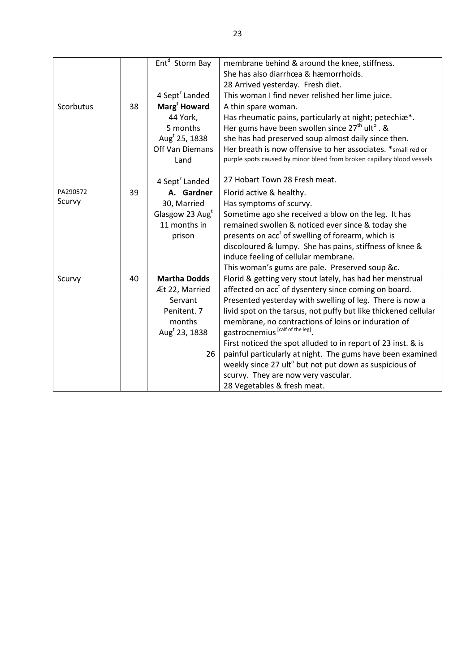|           |    | Ent <sup>d</sup> Storm Bay | membrane behind & around the knee, stiffness.                          |
|-----------|----|----------------------------|------------------------------------------------------------------------|
|           |    |                            | She has also diarrhœa & hæmorrhoids.                                   |
|           |    |                            | 28 Arrived yesterday. Fresh diet.                                      |
|           |    | 4 Sept <sup>r</sup> Landed | This woman I find never relished her lime juice.                       |
| Scorbutus | 38 | Marg <sup>t</sup> Howard   | A thin spare woman.                                                    |
|           |    | 44 York,                   | Has rheumatic pains, particularly at night; petechiæ*.                 |
|           |    | 5 months                   | Her gums have been swollen since $27th$ ult <sup>o</sup> . &           |
|           |    | Aug <sup>t</sup> 25, 1838  | she has had preserved soup almost daily since then.                    |
|           |    | Off Van Diemans            | Her breath is now offensive to her associates. * small red or          |
|           |    | Land                       | purple spots caused by minor bleed from broken capillary blood vessels |
|           |    |                            |                                                                        |
|           |    | 4 Sept <sup>r</sup> Landed | 27 Hobart Town 28 Fresh meat.                                          |
| PA290572  | 39 | A. Gardner                 | Florid active & healthy.                                               |
| Scurvy    |    | 30, Married                | Has symptoms of scurvy.                                                |
|           |    | Glasgow 23 Augt            | Sometime ago she received a blow on the leg. It has                    |
|           |    | 11 months in               | remained swollen & noticed ever since & today she                      |
|           |    | prison                     | presents on acc <sup>t</sup> of swelling of forearm, which is          |
|           |    |                            | discoloured & lumpy. She has pains, stiffness of knee &                |
|           |    |                            | induce feeling of cellular membrane.                                   |
|           |    |                            | This woman's gums are pale. Preserved soup &c.                         |
| Scurvy    | 40 | <b>Martha Dodds</b>        | Florid & getting very stout lately, has had her menstrual              |
|           |    | Æt 22, Married             | affected on acc <sup>t</sup> of dysentery since coming on board.       |
|           |    | Servant                    | Presented yesterday with swelling of leg. There is now a               |
|           |    | Penitent. 7                | livid spot on the tarsus, not puffy but like thickened cellular        |
|           |    | months                     | membrane, no contractions of loins or induration of                    |
|           |    | Aug <sup>t</sup> 23, 1838  | gastrocnemius [calf of the leg].                                       |
|           |    |                            | First noticed the spot alluded to in report of 23 inst. & is           |
|           |    | 26                         | painful particularly at night. The gums have been examined             |
|           |    |                            | weekly since 27 ult <sup>o</sup> but not put down as suspicious of     |
|           |    |                            | scurvy. They are now very vascular.                                    |
|           |    |                            | 28 Vegetables & fresh meat.                                            |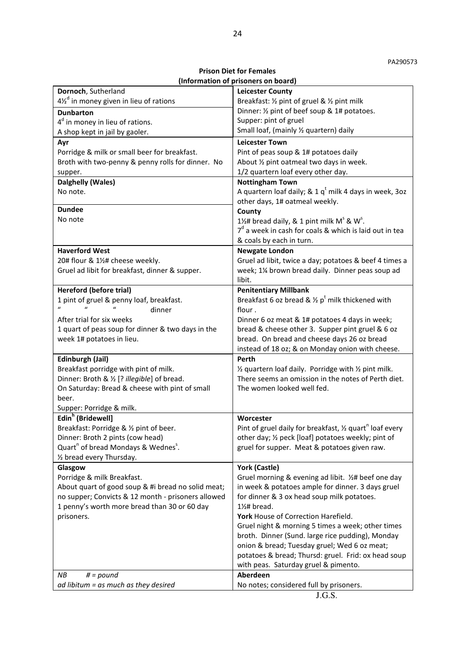**Prison Diet for Females (Information of prisoners on board)** 

| Dornoch, Sutherland<br><b>Leicester County</b><br>$4\frac{1}{2}$ in money given in lieu of rations<br>Breakfast: 1/2 pint of gruel & 1/2 pint milk<br>Dinner: 1/2 pint of beef soup & 1# potatoes.<br><b>Dunbarton</b><br>Supper: pint of gruel<br>$4d$ in money in lieu of rations. |
|--------------------------------------------------------------------------------------------------------------------------------------------------------------------------------------------------------------------------------------------------------------------------------------|
|                                                                                                                                                                                                                                                                                      |
|                                                                                                                                                                                                                                                                                      |
|                                                                                                                                                                                                                                                                                      |
|                                                                                                                                                                                                                                                                                      |
| Small loaf, (mainly 1/2 quartern) daily<br>A shop kept in jail by gaoler.                                                                                                                                                                                                            |
| <b>Leicester Town</b><br>Ayr                                                                                                                                                                                                                                                         |
| Porridge & milk or small beer for breakfast.<br>Pint of peas soup & 1# potatoes daily                                                                                                                                                                                                |
| Broth with two-penny & penny rolls for dinner. No<br>About 1/2 pint oatmeal two days in week.                                                                                                                                                                                        |
| 1/2 quartern loaf every other day.<br>supper.                                                                                                                                                                                                                                        |
| Dalghelly (Wales)<br><b>Nottingham Town</b>                                                                                                                                                                                                                                          |
| A quartern loaf daily; & 1 $q^t$ milk 4 days in week, 3oz<br>No note.                                                                                                                                                                                                                |
| other days, 1# oatmeal weekly.                                                                                                                                                                                                                                                       |
| <b>Dundee</b><br>County                                                                                                                                                                                                                                                              |
| No note<br>1½# bread daily, & 1 pint milk $M^s \& W^s$ .                                                                                                                                                                                                                             |
| $7d$ a week in cash for coals & which is laid out in tea                                                                                                                                                                                                                             |
| & coals by each in turn.                                                                                                                                                                                                                                                             |
| <b>Haverford West</b><br><b>Newgate London</b>                                                                                                                                                                                                                                       |
| Gruel ad libit, twice a day; potatoes & beef 4 times a<br>20# flour & 1½# cheese weekly.                                                                                                                                                                                             |
| Gruel ad libit for breakfast, dinner & supper.<br>week; 1¼ brown bread daily. Dinner peas soup ad                                                                                                                                                                                    |
| libit.                                                                                                                                                                                                                                                                               |
| <b>Hereford (before trial)</b><br><b>Penitentiary Millbank</b>                                                                                                                                                                                                                       |
| Breakfast 6 oz bread & $\frac{1}{2}$ p <sup>t</sup> milk thickened with<br>1 pint of gruel & penny loaf, breakfast.                                                                                                                                                                  |
| dinner<br>flour.                                                                                                                                                                                                                                                                     |
| After trial for six weeks<br>Dinner 6 oz meat & 1# potatoes 4 days in week;                                                                                                                                                                                                          |
| 1 quart of peas soup for dinner & two days in the<br>bread & cheese other 3. Supper pint gruel & 6 oz                                                                                                                                                                                |
| bread. On bread and cheese days 26 oz bread<br>week 1# potatoes in lieu.                                                                                                                                                                                                             |
| instead of 18 oz; & on Monday onion with cheese.                                                                                                                                                                                                                                     |
| Edinburgh (Jail)<br>Perth                                                                                                                                                                                                                                                            |
| Breakfast porridge with pint of milk.<br>1/2 quartern loaf daily. Porridge with 1/2 pint milk.                                                                                                                                                                                       |
| Dinner: Broth & 1/2 [? illegible] of bread.<br>There seems an omission in the notes of Perth diet.                                                                                                                                                                                   |
| On Saturday: Bread & cheese with pint of small<br>The women looked well fed.                                                                                                                                                                                                         |
| beer.                                                                                                                                                                                                                                                                                |
| Supper: Porridge & milk.                                                                                                                                                                                                                                                             |
| Edin <sup>h</sup> (Bridewell)<br>Worcester                                                                                                                                                                                                                                           |
| Breakfast: Porridge & 1/2 pint of beer.<br>Pint of gruel daily for breakfast, 1/2 quart <sup>n</sup> loaf every                                                                                                                                                                      |
| Dinner: Broth 2 pints (cow head)<br>other day; 1/2 peck [loaf] potatoes weekly; pint of                                                                                                                                                                                              |
| Quart <sup>n</sup> of bread Mondays & Wednes <sup>5</sup> .<br>gruel for supper. Meat & potatoes given raw.                                                                                                                                                                          |
| 1/2 bread every Thursday.                                                                                                                                                                                                                                                            |
| York (Castle)<br>Glasgow                                                                                                                                                                                                                                                             |
| Porridge & milk Breakfast.<br>Gruel morning & evening ad libit. 1/2# beef one day                                                                                                                                                                                                    |
| About quart of good soup & #i bread no solid meat;<br>in week & potatoes ample for dinner. 3 days gruel                                                                                                                                                                              |
| no supper; Convicts & 12 month - prisoners allowed<br>for dinner & 3 ox head soup milk potatoes.                                                                                                                                                                                     |
| 1 penny's worth more bread than 30 or 60 day<br>$1\frac{1}{2}$ # bread.                                                                                                                                                                                                              |
| York House of Correction Harefield.<br>prisoners.                                                                                                                                                                                                                                    |
| Gruel night & morning 5 times a week; other times                                                                                                                                                                                                                                    |
| broth. Dinner (Sund. large rice pudding), Monday                                                                                                                                                                                                                                     |
| onion & bread; Tuesday gruel; Wed 6 oz meat;                                                                                                                                                                                                                                         |
| potatoes & bread; Thursd: gruel. Frid: ox head soup                                                                                                                                                                                                                                  |
| with peas. Saturday gruel & pimento.                                                                                                                                                                                                                                                 |
| $# = pound$<br>ΝB<br>Aberdeen                                                                                                                                                                                                                                                        |
| No notes; considered full by prisoners.<br>ad libitum = as much as they desired                                                                                                                                                                                                      |
| J.G.S.                                                                                                                                                                                                                                                                               |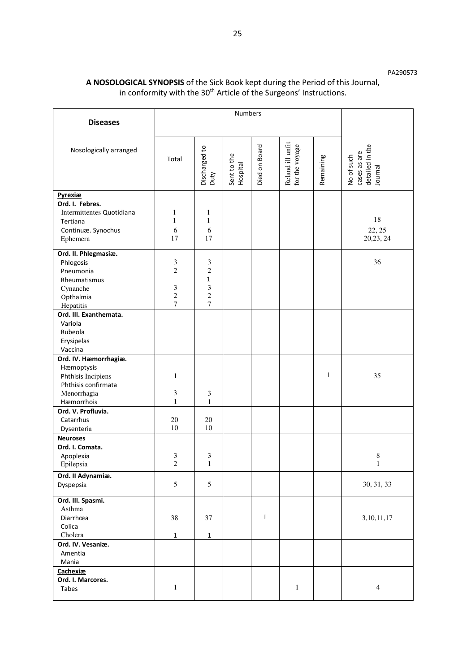### **A NOSOLOGICAL SYNOPSIS** of the Sick Book kept during the Period of this Journal, in conformity with the 30<sup>th</sup> Article of the Surgeons' Instructions.

| <b>Diseases</b>                                                                                               | Numbers                                                        |                                                                                             |                         |               |                                    |           |                                                          |
|---------------------------------------------------------------------------------------------------------------|----------------------------------------------------------------|---------------------------------------------------------------------------------------------|-------------------------|---------------|------------------------------------|-----------|----------------------------------------------------------|
|                                                                                                               |                                                                |                                                                                             |                         |               |                                    |           |                                                          |
| Nosologically arranged                                                                                        | Total                                                          | Discharged to<br>Duty                                                                       | Sent to the<br>Hospital | Died on Board | Reland ill unfit<br>for the voyage | Remaining | detailed in the<br>Journal<br>cases as are<br>No of such |
| Pyrexiæ<br>Ord. I. Febres.<br>Intermittentes Quotidiana<br>Tertiana                                           | 1<br>$\mathbf{1}$                                              | $\mathbf{1}$<br>$\mathbf 1$                                                                 |                         |               |                                    |           | 18                                                       |
| Continuæ. Synochus<br>Ephemera                                                                                | 6<br>17                                                        | 6<br>17                                                                                     |                         |               |                                    |           | 22, 25<br>20,23, 24                                      |
| Ord. II. Phlegmasiæ.<br>Phlogosis<br>Pneumonia<br>Rheumatismus<br>Cynanche<br>Opthalmia<br>Hepatitis          | 3<br>$\overline{2}$<br>$\mathfrak 3$<br>$\mathbf{2}$<br>$\tau$ | 3<br>$\overline{2}$<br>$\mathbf{1}$<br>$\mathfrak{Z}$<br>$\overline{c}$<br>$\boldsymbol{7}$ |                         |               |                                    |           | 36                                                       |
| Ord. III. Exanthemata.<br>Variola<br>Rubeola<br>Erysipelas<br>Vaccina                                         |                                                                |                                                                                             |                         |               |                                    |           |                                                          |
| Ord. IV. Hæmorrhagiæ.<br>Hæmoptysis<br>Phthisis Incipiens<br>Phthisis confirmata<br>Menorrhagia<br>Hæmorrhois | 1<br>3<br>$\mathbf{1}$                                         | 3<br>$\mathbf{1}$                                                                           |                         |               |                                    | 1         | 35                                                       |
| Ord. V. Profluvia.<br>Catarrhus<br>Dysenteria                                                                 | $20\,$<br>10                                                   | 20<br>10                                                                                    |                         |               |                                    |           |                                                          |
| <b>Neuroses</b><br>Ord. I. Comata.<br>Apoplexia<br>Epilepsia                                                  | 3<br>$\overline{\mathbf{c}}$                                   | 3<br>$\mathbf{1}$                                                                           |                         |               |                                    |           | $\,$ 8 $\,$<br>$\mathbf{1}$                              |
| Ord. II Adynamiæ.<br>Dyspepsia                                                                                | 5                                                              | 5                                                                                           |                         |               |                                    |           | 30, 31, 33                                               |
| Ord. III. Spasmi.<br>Asthma<br>Diarrhœa<br>Colica<br>Cholera                                                  | 38<br>$\mathbf 1$                                              | 37<br>$\mathbf 1$                                                                           |                         | $\mathbf{1}$  |                                    |           | 3, 10, 11, 17                                            |
| Ord. IV. Vesaniæ.<br>Amentia<br>Mania                                                                         |                                                                |                                                                                             |                         |               |                                    |           |                                                          |
| Cachexiæ<br>Ord. I. Marcores.<br>Tabes                                                                        | $\mathbf 1$                                                    |                                                                                             |                         |               | $\mathbf 1$                        |           | $\overline{4}$                                           |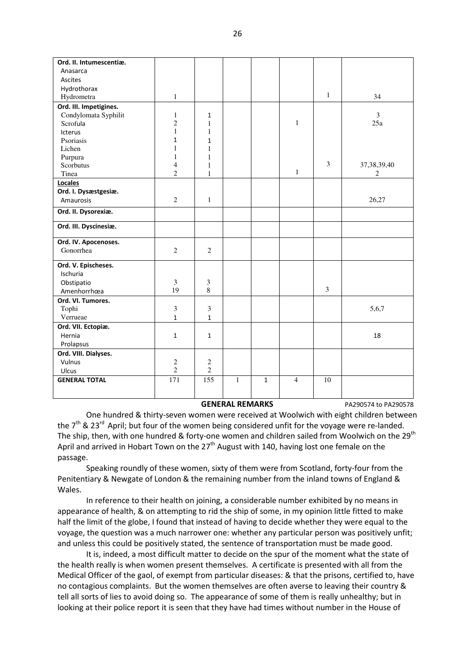| Ord. II. Intumescentiæ. |                |                |              |              |                |              |                |
|-------------------------|----------------|----------------|--------------|--------------|----------------|--------------|----------------|
| Anasarca                |                |                |              |              |                |              |                |
| Ascites                 |                |                |              |              |                |              |                |
| Hydrothorax             |                |                |              |              |                |              |                |
| Hydrometra              | $\mathbf{1}$   |                |              |              |                | $\mathbf{1}$ | 34             |
| Ord. III. Impetigines.  |                |                |              |              |                |              |                |
| Condylomata Syphilit    | $\mathbf{1}$   | $\mathbf{1}$   |              |              |                |              | $\mathfrak{Z}$ |
| Scrofula                | $\overline{c}$ | 1              |              |              | $\mathbf{1}$   |              | 25a            |
| <b>Icterus</b>          | $\mathbf{1}$   | $\mathbf{1}$   |              |              |                |              |                |
| Psoriasis               | $\mathbf 1$    | $\mathbf{1}$   |              |              |                |              |                |
| Lichen                  | 1              | $\mathbf{1}$   |              |              |                |              |                |
| Purpura                 | 1              | 1              |              |              |                |              |                |
| Scorbutus               | $\overline{4}$ | 1              |              |              |                | 3            | 37, 38, 39, 40 |
| Tinea                   | $\overline{2}$ | $\mathbf{1}$   |              |              | $\mathbf{1}$   |              | 2              |
| Locales                 |                |                |              |              |                |              |                |
| Ord. I. Dysæstgesiæ.    |                |                |              |              |                |              |                |
| Amaurosis               | $\overline{2}$ | $\mathbf{1}$   |              |              |                |              | 26,27          |
| Ord. II. Dysorexiæ.     |                |                |              |              |                |              |                |
| Ord. III. Dyscinesiæ.   |                |                |              |              |                |              |                |
| Ord. IV. Apocenoses.    |                |                |              |              |                |              |                |
| Gonorrhea               | $\overline{2}$ | $\overline{2}$ |              |              |                |              |                |
| Ord. V. Epischeses.     |                |                |              |              |                |              |                |
| Ischuria                |                |                |              |              |                |              |                |
| Obstipatio              | $\mathfrak{Z}$ | $\mathfrak{Z}$ |              |              |                |              |                |
| Amenhorrhœa             | 19             | 8              |              |              |                | 3            |                |
| Ord. VI. Tumores.       |                |                |              |              |                |              |                |
| Tophi                   | $\mathfrak{Z}$ | $\mathfrak{Z}$ |              |              |                |              | 5,6,7          |
| Verrueae                | $\mathbf{1}$   | $\mathbf{1}$   |              |              |                |              |                |
| Ord. VII. Ectopiæ.      |                |                |              |              |                |              |                |
| Hernia                  | $\mathbf{1}$   | $\mathbf{1}$   |              |              |                |              | 18             |
| Prolapsus               |                |                |              |              |                |              |                |
| Ord. VIII. Dialyses.    |                |                |              |              |                |              |                |
| Vulnus                  | $\sqrt{2}$     | $\overline{c}$ |              |              |                |              |                |
| Ulcus                   | $\overline{c}$ | $\mathbf{2}$   |              |              |                |              |                |
| <b>GENERAL TOTAL</b>    | 171            | 155            | $\mathbf{1}$ | $\mathbf{1}$ | $\overline{4}$ | 10           |                |
|                         |                |                |              |              |                |              |                |
|                         |                |                |              |              |                |              |                |

#### GENERAL REMARKS<br>
PA290574 to PA290578

 One hundred & thirty-seven women were received at Woolwich with eight children between the  $7<sup>th</sup>$  & 23<sup>rd</sup> April; but four of the women being considered unfit for the voyage were re-landed. The ship, then, with one hundred & forty-one women and children sailed from Woolwich on the 29<sup>th</sup> April and arrived in Hobart Town on the  $27<sup>th</sup>$  August with 140, having lost one female on the passage.

 Speaking roundly of these women, sixty of them were from Scotland, forty-four from the Penitentiary & Newgate of London & the remaining number from the inland towns of England & Wales.

 In reference to their health on joining, a considerable number exhibited by no means in appearance of health, & on attempting to rid the ship of some, in my opinion little fitted to make half the limit of the globe, I found that instead of having to decide whether they were equal to the voyage, the question was a much narrower one: whether any particular person was positively unfit; and unless this could be positively stated, the sentence of transportation must be made good.

 It is, indeed, a most difficult matter to decide on the spur of the moment what the state of the health really is when women present themselves. A certificate is presented with all from the Medical Officer of the gaol, of exempt from particular diseases: & that the prisons, certified to, have no contagious complaints. But the women themselves are often averse to leaving their country & tell all sorts of lies to avoid doing so. The appearance of some of them is really unhealthy; but in looking at their police report it is seen that they have had times without number in the House of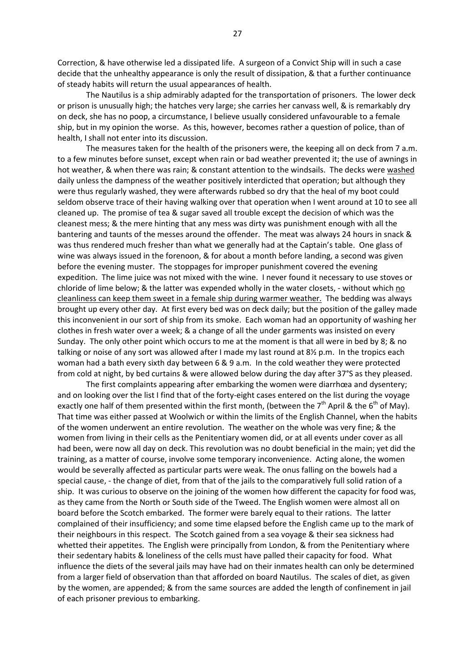Correction, & have otherwise led a dissipated life. A surgeon of a Convict Ship will in such a case decide that the unhealthy appearance is only the result of dissipation, & that a further continuance of steady habits will return the usual appearances of health.

 The Nautilus is a ship admirably adapted for the transportation of prisoners. The lower deck or prison is unusually high; the hatches very large; she carries her canvass well, & is remarkably dry on deck, she has no poop, a circumstance, I believe usually considered unfavourable to a female ship, but in my opinion the worse. As this, however, becomes rather a question of police, than of health, I shall not enter into its discussion.

 The measures taken for the health of the prisoners were, the keeping all on deck from 7 a.m. to a few minutes before sunset, except when rain or bad weather prevented it; the use of awnings in hot weather, & when there was rain; & constant attention to the windsails. The decks were washed daily unless the dampness of the weather positively interdicted that operation; but although they were thus regularly washed, they were afterwards rubbed so dry that the heal of my boot could seldom observe trace of their having walking over that operation when I went around at 10 to see all cleaned up. The promise of tea & sugar saved all trouble except the decision of which was the cleanest mess; & the mere hinting that any mess was dirty was punishment enough with all the bantering and taunts of the messes around the offender. The meat was always 24 hours in snack & was thus rendered much fresher than what we generally had at the Captain's table. One glass of wine was always issued in the forenoon, & for about a month before landing, a second was given before the evening muster. The stoppages for improper punishment covered the evening expedition. The lime juice was not mixed with the wine. I never found it necessary to use stoves or chloride of lime below; & the latter was expended wholly in the water closets, - without which no cleanliness can keep them sweet in a female ship during warmer weather. The bedding was always brought up every other day. At first every bed was on deck daily; but the position of the galley made this inconvenient in our sort of ship from its smoke. Each woman had an opportunity of washing her clothes in fresh water over a week; & a change of all the under garments was insisted on every Sunday. The only other point which occurs to me at the moment is that all were in bed by 8; & no talking or noise of any sort was allowed after I made my last round at 8½ p.m. In the tropics each woman had a bath every sixth day between 6 & 9 a.m. In the cold weather they were protected from cold at night, by bed curtains & were allowed below during the day after 37°S as they pleased.

 The first complaints appearing after embarking the women were diarrhœa and dysentery; and on looking over the list I find that of the forty-eight cases entered on the list during the voyage exactly one half of them presented within the first month, (between the  $7<sup>th</sup>$  April & the  $6<sup>th</sup>$  of May). That time was either passed at Woolwich or within the limits of the English Channel, when the habits of the women underwent an entire revolution. The weather on the whole was very fine; & the women from living in their cells as the Penitentiary women did, or at all events under cover as all had been, were now all day on deck. This revolution was no doubt beneficial in the main; yet did the training, as a matter of course, involve some temporary inconvenience. Acting alone, the women would be severally affected as particular parts were weak. The onus falling on the bowels had a special cause, - the change of diet, from that of the jails to the comparatively full solid ration of a ship. It was curious to observe on the joining of the women how different the capacity for food was, as they came from the North or South side of the Tweed. The English women were almost all on board before the Scotch embarked. The former were barely equal to their rations. The latter complained of their insufficiency; and some time elapsed before the English came up to the mark of their neighbours in this respect. The Scotch gained from a sea voyage & their sea sickness had whetted their appetites. The English were principally from London, & from the Penitentiary where their sedentary habits & loneliness of the cells must have palled their capacity for food. What influence the diets of the several jails may have had on their inmates health can only be determined from a larger field of observation than that afforded on board Nautilus. The scales of diet, as given by the women, are appended; & from the same sources are added the length of confinement in jail of each prisoner previous to embarking.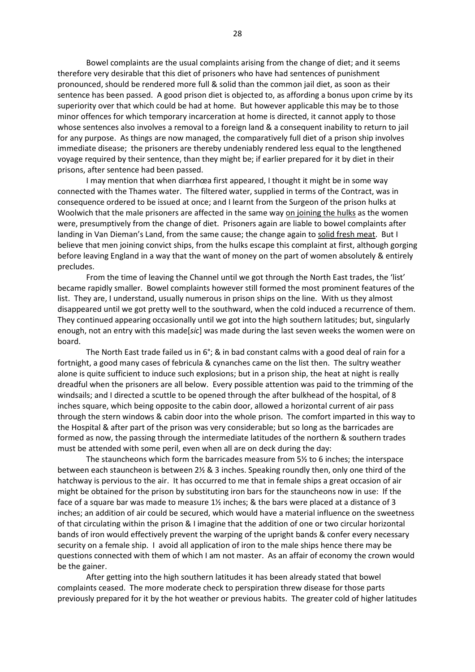Bowel complaints are the usual complaints arising from the change of diet; and it seems therefore very desirable that this diet of prisoners who have had sentences of punishment pronounced, should be rendered more full & solid than the common jail diet, as soon as their sentence has been passed. A good prison diet is objected to, as affording a bonus upon crime by its superiority over that which could be had at home. But however applicable this may be to those minor offences for which temporary incarceration at home is directed, it cannot apply to those whose sentences also involves a removal to a foreign land & a consequent inability to return to jail for any purpose. As things are now managed, the comparatively full diet of a prison ship involves immediate disease; the prisoners are thereby undeniably rendered less equal to the lengthened voyage required by their sentence, than they might be; if earlier prepared for it by diet in their prisons, after sentence had been passed.

 I may mention that when diarrhœa first appeared, I thought it might be in some way connected with the Thames water. The filtered water, supplied in terms of the Contract, was in consequence ordered to be issued at once; and I learnt from the Surgeon of the prison hulks at Woolwich that the male prisoners are affected in the same way on joining the hulks as the women were, presumptively from the change of diet. Prisoners again are liable to bowel complaints after landing in Van Dieman's Land, from the same cause; the change again to solid fresh meat. But I believe that men joining convict ships, from the hulks escape this complaint at first, although gorging before leaving England in a way that the want of money on the part of women absolutely & entirely precludes.

 From the time of leaving the Channel until we got through the North East trades, the 'list' became rapidly smaller. Bowel complaints however still formed the most prominent features of the list. They are, I understand, usually numerous in prison ships on the line. With us they almost disappeared until we got pretty well to the southward, when the cold induced a recurrence of them. They continued appearing occasionally until we got into the high southern latitudes; but, singularly enough, not an entry with this made[*sic*] was made during the last seven weeks the women were on board.

 The North East trade failed us in 6°; & in bad constant calms with a good deal of rain for a fortnight, a good many cases of febricula & cynanches came on the list then. The sultry weather alone is quite sufficient to induce such explosions; but in a prison ship, the heat at night is really dreadful when the prisoners are all below. Every possible attention was paid to the trimming of the windsails; and I directed a scuttle to be opened through the after bulkhead of the hospital, of 8 inches square, which being opposite to the cabin door, allowed a horizontal current of air pass through the stern windows & cabin door into the whole prison. The comfort imparted in this way to the Hospital & after part of the prison was very considerable; but so long as the barricades are formed as now, the passing through the intermediate latitudes of the northern & southern trades must be attended with some peril, even when all are on deck during the day:

 The stauncheons which form the barricades measure from 5½ to 6 inches; the interspace between each stauncheon is between 2½ & 3 inches. Speaking roundly then, only one third of the hatchway is pervious to the air. It has occurred to me that in female ships a great occasion of air might be obtained for the prison by substituting iron bars for the stauncheons now in use: If the face of a square bar was made to measure 1½ inches; & the bars were placed at a distance of 3 inches; an addition of air could be secured, which would have a material influence on the sweetness of that circulating within the prison & I imagine that the addition of one or two circular horizontal bands of iron would effectively prevent the warping of the upright bands & confer every necessary security on a female ship. I avoid all application of iron to the male ships hence there may be questions connected with them of which I am not master. As an affair of economy the crown would be the gainer.

 After getting into the high southern latitudes it has been already stated that bowel complaints ceased. The more moderate check to perspiration threw disease for those parts previously prepared for it by the hot weather or previous habits. The greater cold of higher latitudes